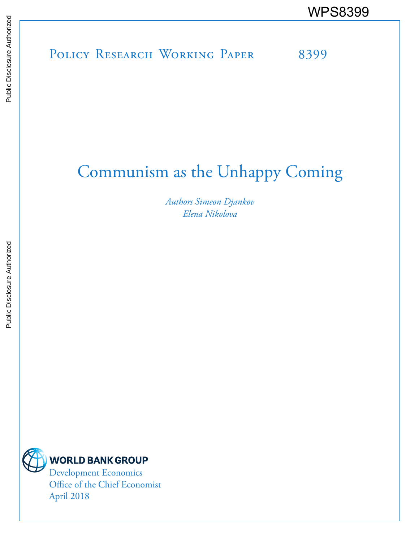# POLICY RESEARCH WORKING PAPER 8399 WPS8399

# Communism as the Unhappy Coming

*Authors Simeon Djankov Elena Nikolova*



Office of the Chief Economist April 2018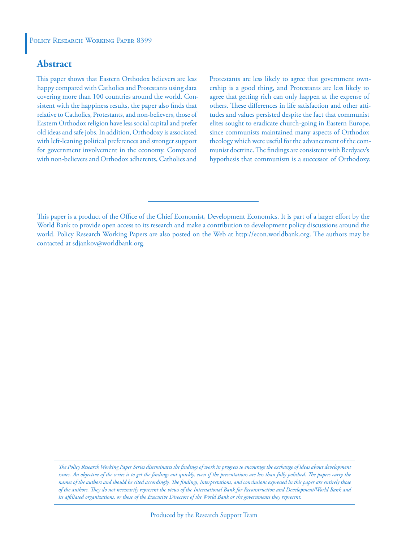#### **Abstract**

This paper shows that Eastern Orthodox believers are less happy compared with Catholics and Protestants using data covering more than 100 countries around the world. Consistent with the happiness results, the paper also finds that relative to Catholics, Protestants, and non-believers, those of Eastern Orthodox religion have less social capital and prefer old ideas and safe jobs. In addition, Orthodoxy is associated with left-leaning political preferences and stronger support for government involvement in the economy. Compared with non-believers and Orthodox adherents, Catholics and

Protestants are less likely to agree that government ownership is a good thing, and Protestants are less likely to agree that getting rich can only happen at the expense of others. These differences in life satisfaction and other attitudes and values persisted despite the fact that communist elites sought to eradicate church-going in Eastern Europe, since communists maintained many aspects of Orthodox theology which were useful for the advancement of the communist doctrine. The findings are consistent with Berdyaev's hypothesis that communism is a successor of Orthodoxy.

*The Policy Research Working Paper Series disseminates the findings of work in progress to encourage the exchange of ideas about development*  issues. An objective of the series is to get the findings out quickly, even if the presentations are less than fully polished. The papers carry the *names of the authors and should be cited accordingly. The findings, interpretations, and conclusions expressed in this paper are entirely those of the authors. They do not necessarily represent the views of the International Bank for Reconstruction and Development/World Bank and its affiliated organizations, or those of the Executive Directors of the World Bank or the governments they represent.*

This paper is a product of the Office of the Chief Economist, Development Economics. It is part of a larger effort by the World Bank to provide open access to its research and make a contribution to development policy discussions around the world. Policy Research Working Papers are also posted on the Web at http://econ.worldbank.org. The authors may be contacted at sdjankov@worldbank.org.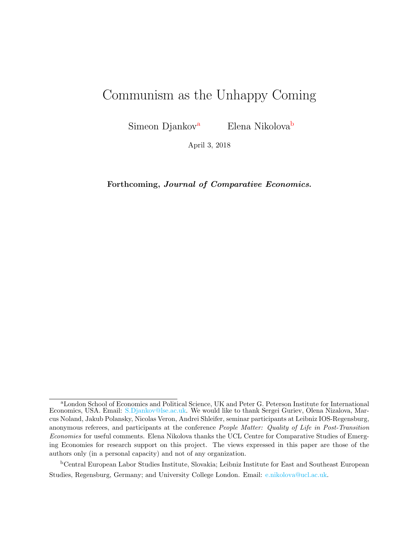# Communism as the Unhappy Coming

Simeon Djankov<sup>a</sup> Elena Nikolova<sup>b</sup>

April 3, 2018

Forthcoming, Journal of Comparative Economics.

<sup>b</sup>Central European Labor Studies Institute, Slovakia; Leibniz Institute for East and Southeast European Studies, Regensburg, Germany; and University College London. Email: [e.nikolova@ucl.ac.uk.](mailto:e.nikolova@ucl.ac.uk)

<sup>a</sup>London School of Economics and Political Science, UK and Peter G. Peterson Institute for International Economics, USA. Email: [S.Djankov@lse.ac.uk.](mailto:S.Djankov@lse.ac.uk) We would like to thank Sergei Guriev, Olena Nizalova, Marcus Noland, Jakub Polansky, Nicolas Veron, Andrei Shleifer, seminar participants at Leibniz IOS-Regensburg, anonymous referees, and participants at the conference People Matter: Quality of Life in Post-Transition Economies for useful comments. Elena Nikolova thanks the UCL Centre for Comparative Studies of Emerging Economies for research support on this project. The views expressed in this paper are those of the authors only (in a personal capacity) and not of any organization.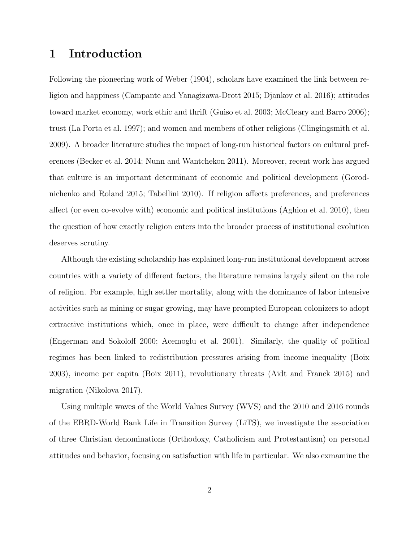# 1 Introduction

Following the pioneering work of [Weber](#page-42-0) [\(1904\)](#page-42-0), scholars have examined the link between religion and happiness [\(Campante and Yanagizawa-Drott](#page-39-0) [2015;](#page-39-0) [Djankov et al.](#page-39-1) [2016\)](#page-39-1); attitudes toward market economy, work ethic and thrift [\(Guiso et al.](#page-40-0) [2003;](#page-40-0) [McCleary and Barro](#page-40-1) [2006\)](#page-40-1); trust [\(La Porta et al.](#page-40-2) [1997\)](#page-40-2); and women and members of other religions [\(Clingingsmith et al.](#page-39-2) [2009\)](#page-39-2). A broader literature studies the impact of long-run historical factors on cultural preferences [\(Becker et al.](#page-38-0) [2014;](#page-38-0) [Nunn and Wantchekon](#page-41-0) [2011\)](#page-41-0). Moreover, recent work has argued that culture is an important determinant of economic and political development [\(Gorod](#page-40-3)[nichenko and Roland](#page-40-3) [2015;](#page-40-3) [Tabellini](#page-41-1) [2010\)](#page-41-1). If religion affects preferences, and preferences affect (or even co-evolve with) economic and political institutions [\(Aghion et al.](#page-38-1) [2010\)](#page-38-1), then the question of how exactly religion enters into the broader process of institutional evolution deserves scrutiny.

Although the existing scholarship has explained long-run institutional development across countries with a variety of different factors, the literature remains largely silent on the role of religion. For example, high settler mortality, along with the dominance of labor intensive activities such as mining or sugar growing, may have prompted European colonizers to adopt extractive institutions which, once in place, were difficult to change after independence [\(Engerman and Sokoloff](#page-39-3) [2000;](#page-39-3) [Acemoglu et al.](#page-38-2) [2001\)](#page-38-2). Similarly, the quality of political regimes has been linked to redistribution pressures arising from income inequality [\(Boix](#page-38-3) [2003\)](#page-38-3), income per capita [\(Boix](#page-38-4) [2011\)](#page-38-4), revolutionary threats [\(Aidt and Franck](#page-38-5) [2015\)](#page-38-5) and migration [\(Nikolova](#page-41-2) [2017\)](#page-41-2).

Using multiple waves of the World Values Survey (WVS) and the 2010 and 2016 rounds of the EBRD-World Bank Life in Transition Survey (LiTS), we investigate the association of three Christian denominations (Orthodoxy, Catholicism and Protestantism) on personal attitudes and behavior, focusing on satisfaction with life in particular. We also exmamine the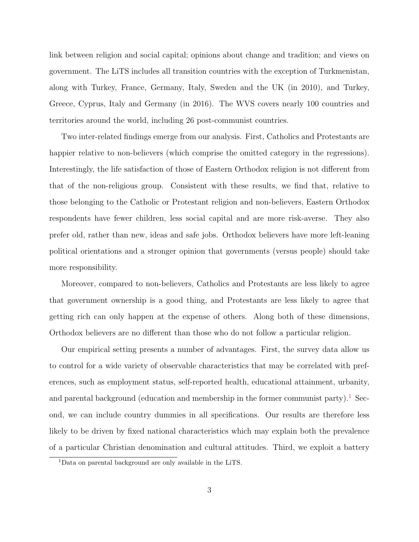link between religion and social capital; opinions about change and tradition; and views on government. The LiTS includes all transition countries with the exception of Turkmenistan, along with Turkey, France, Germany, Italy, Sweden and the UK (in 2010), and Turkey, Greece, Cyprus, Italy and Germany (in 2016). The WVS covers nearly 100 countries and territories around the world, including 26 post-communist countries.

Two inter-related findings emerge from our analysis. First, Catholics and Protestants are happier relative to non-believers (which comprise the omitted category in the regressions). Interestingly, the life satisfaction of those of Eastern Orthodox religion is not different from that of the non-religious group. Consistent with these results, we find that, relative to those belonging to the Catholic or Protestant religion and non-believers, Eastern Orthodox respondents have fewer children, less social capital and are more risk-averse. They also prefer old, rather than new, ideas and safe jobs. Orthodox believers have more left-leaning political orientations and a stronger opinion that governments (versus people) should take more responsibility.

Moreover, compared to non-believers, Catholics and Protestants are less likely to agree that government ownership is a good thing, and Protestants are less likely to agree that getting rich can only happen at the expense of others. Along both of these dimensions, Orthodox believers are no different than those who do not follow a particular religion.

Our empirical setting presents a number of advantages. First, the survey data allow us to control for a wide variety of observable characteristics that may be correlated with preferences, such as employment status, self-reported health, educational attainment, urbanity, and parental background (education and membership in the former communist party).<sup>[1](#page-4-0)</sup> Second, we can include country dummies in all specifications. Our results are therefore less likely to be driven by fixed national characteristics which may explain both the prevalence of a particular Christian denomination and cultural attitudes. Third, we exploit a battery

<span id="page-4-0"></span><sup>1</sup>Data on parental background are only available in the LiTS.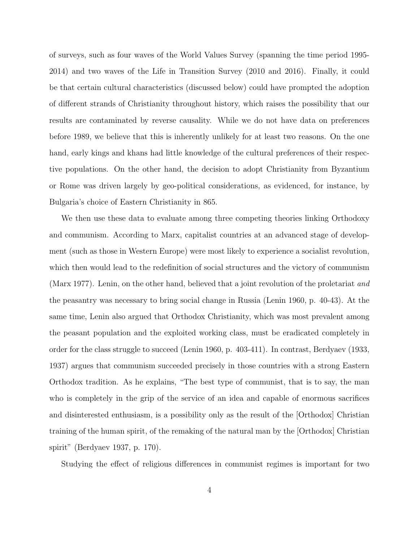of surveys, such as four waves of the World Values Survey (spanning the time period 1995- 2014) and two waves of the Life in Transition Survey (2010 and 2016). Finally, it could be that certain cultural characteristics (discussed below) could have prompted the adoption of different strands of Christianity throughout history, which raises the possibility that our results are contaminated by reverse causality. While we do not have data on preferences before 1989, we believe that this is inherently unlikely for at least two reasons. On the one hand, early kings and khans had little knowledge of the cultural preferences of their respective populations. On the other hand, the decision to adopt Christianity from Byzantium or Rome was driven largely by geo-political considerations, as evidenced, for instance, by Bulgaria's choice of Eastern Christianity in 865.

We then use these data to evaluate among three competing theories linking Orthodoxy and communism. According to Marx, capitalist countries at an advanced stage of development (such as those in Western Europe) were most likely to experience a socialist revolution, which then would lead to the redefinition of social structures and the victory of communism [\(Marx](#page-40-4) [1977\)](#page-40-4). Lenin, on the other hand, believed that a joint revolution of the proletariat and the peasantry was necessary to bring social change in Russia [\(Lenin](#page-40-5) [1960,](#page-40-5) p. 40-43). At the same time, Lenin also argued that Orthodox Christianity, which was most prevalent among the peasant population and the exploited working class, must be eradicated completely in order for the class struggle to succeed [\(Lenin](#page-40-5) [1960,](#page-40-5) p. 403-411). In contrast, [Berdyaev](#page-38-6) [\(1933,](#page-38-6) [1937\)](#page-38-7) argues that communism succeeded precisely in those countries with a strong Eastern Orthodox tradition. As he explains, "The best type of communist, that is to say, the man who is completely in the grip of the service of an idea and capable of enormous sacrifices and disinterested enthusiasm, is a possibility only as the result of the [Orthodox] Christian training of the human spirit, of the remaking of the natural man by the [Orthodox] Christian spirit" [\(Berdyaev](#page-38-7) [1937,](#page-38-7) p. 170).

Studying the effect of religious differences in communist regimes is important for two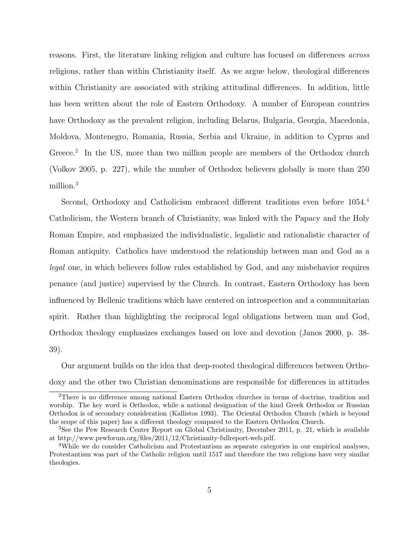reasons. First, the literature linking religion and culture has focused on differences across religions, rather than within Christianity itself. As we argue below, theological differences within Christianity are associated with striking attitudinal differences. In addition, little has been written about the role of Eastern Orthodoxy. A number of European countries have Orthodoxy as the prevalent religion, including Belarus, Bulgaria, Georgia, Macedonia, Moldova, Montenegro, Romania, Russia, Serbia and Ukraine, in addition to Cyprus and Greece.<sup>[2](#page-6-0)</sup> In the US, more than two million people are members of the Orthodox church [\(Volkov](#page-41-3) [2005,](#page-41-3) p. 227), while the number of Orthodox believers globally is more than 250 million.[3](#page-6-1)

Second, Orthodoxy and Catholicism embraced different traditions even before  $1054<sup>4</sup>$  $1054<sup>4</sup>$  $1054<sup>4</sup>$ Catholicism, the Western branch of Christianity, was linked with the Papacy and the Holy Roman Empire, and emphasized the individualistic, legalistic and rationalistic character of Roman antiquity. Catholics have understood the relationship between man and God as a legal one, in which believers follow rules established by God, and any misbehavior requires penance (and justice) supervised by the Church. In contrast, Eastern Orthodoxy has been influenced by Hellenic traditions which have centered on introspection and a communitarian spirit. Rather than highlighting the reciprocal legal obligations between man and God, Orthodox theology emphasizes exchanges based on love and devotion [\(Janos](#page-40-6) [2000,](#page-40-6) p. 38- 39).

Our argument builds on the idea that deep-rooted theological differences between Orthodoxy and the other two Christian denominations are responsible for differences in attitudes

<span id="page-6-0"></span><sup>2</sup>There is no difference among national Eastern Orthodox churches in terms of doctrine, tradition and worship. The key word is Orthodox, while a national designation of the kind Greek Orthodox or Russian Orthodox is of secondary consideration [\(Kallistos](#page-40-7) [1993\)](#page-40-7). The Oriental Orthodox Church (which is beyond the scope of this paper) has a different theology compared to the Eastern Orthodox Church.

<span id="page-6-1"></span><sup>3</sup>See the Pew Research Center Report on Global Christianity, December 2011, p. 21, which is available at http://www.pewforum.org/files/2011/12/Christianity-fullreport-web.pdf.

<span id="page-6-2"></span><sup>4</sup>While we do consider Catholicism and Protestantism as separate categories in our empirical analyses, Protestantism was part of the Catholic religion until 1517 and therefore the two religions have very similar theologies.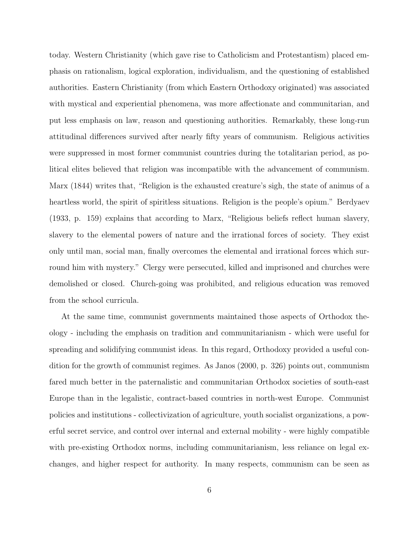today. Western Christianity (which gave rise to Catholicism and Protestantism) placed emphasis on rationalism, logical exploration, individualism, and the questioning of established authorities. Eastern Christianity (from which Eastern Orthodoxy originated) was associated with mystical and experiential phenomena, was more affectionate and communitarian, and put less emphasis on law, reason and questioning authorities. Remarkably, these long-run attitudinal differences survived after nearly fifty years of communism. Religious activities were suppressed in most former communist countries during the totalitarian period, as political elites believed that religion was incompatible with the advancement of communism. [Marx](#page-40-8) [\(1844\)](#page-40-8) writes that, "Religion is the exhausted creature's sigh, the state of animus of a heartless world, the spirit of spiritless situations. Religion is the people's opium." [Berdyaev](#page-38-6) [\(1933,](#page-38-6) p. 159) explains that according to Marx, "Religious beliefs reflect human slavery, slavery to the elemental powers of nature and the irrational forces of society. They exist only until man, social man, finally overcomes the elemental and irrational forces which surround him with mystery." Clergy were persecuted, killed and imprisoned and churches were demolished or closed. Church-going was prohibited, and religious education was removed from the school curricula.

At the same time, communist governments maintained those aspects of Orthodox theology - including the emphasis on tradition and communitarianism - which were useful for spreading and solidifying communist ideas. In this regard, Orthodoxy provided a useful condition for the growth of communist regimes. As [Janos](#page-40-6) [\(2000,](#page-40-6) p. 326) points out, communism fared much better in the paternalistic and communitarian Orthodox societies of south-east Europe than in the legalistic, contract-based countries in north-west Europe. Communist policies and institutions - collectivization of agriculture, youth socialist organizations, a powerful secret service, and control over internal and external mobility - were highly compatible with pre-existing Orthodox norms, including communitarianism, less reliance on legal exchanges, and higher respect for authority. In many respects, communism can be seen as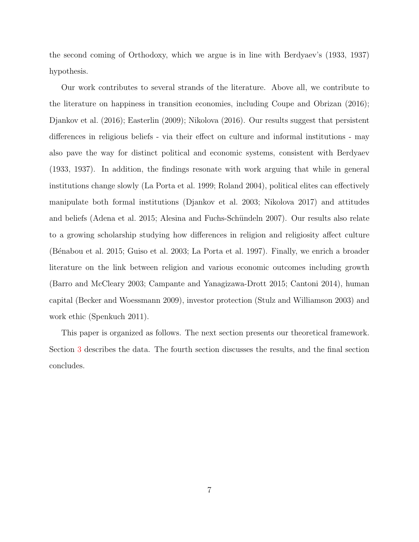the second coming of Orthodoxy, which we argue is in line with Berdyaev's (1933, 1937) hypothesis.

Our work contributes to several strands of the literature. Above all, we contribute to the literature on happiness in transition economies, including [Coupe and Obrizan](#page-39-4) [\(2016\)](#page-39-4); [Djankov et al.](#page-39-1) [\(2016\)](#page-39-1); [Easterlin](#page-39-5) [\(2009\)](#page-39-5); [Nikolova](#page-41-4) [\(2016\)](#page-41-4). Our results suggest that persistent differences in religious beliefs - via their effect on culture and informal institutions - may also pave the way for distinct political and economic systems, consistent with [Berdyaev](#page-38-6) [\(1933,](#page-38-6) [1937\)](#page-38-7). In addition, the findings resonate with work arguing that while in general institutions change slowly [\(La Porta et al.](#page-40-9) [1999;](#page-40-9) [Roland](#page-41-5) [2004\)](#page-41-5), political elites can effectively manipulate both formal institutions [\(Djankov et al.](#page-39-6) [2003;](#page-39-6) [Nikolova](#page-41-2) [2017\)](#page-41-2) and attitudes and beliefs [\(Adena et al.](#page-38-8) [2015;](#page-38-8) Alesina and Fuchs-Schündeln [2007\)](#page-38-9). Our results also relate to a growing scholarship studying how differences in religion and religiosity affect culture [\(B´enabou et al.](#page-38-10) [2015;](#page-38-10) [Guiso et al.](#page-40-0) [2003;](#page-40-0) [La Porta et al.](#page-40-2) [1997\)](#page-40-2). Finally, we enrich a broader literature on the link between religion and various economic outcomes including growth [\(Barro and McCleary](#page-38-11) [2003;](#page-38-11) [Campante and Yanagizawa-Drott](#page-39-0) [2015;](#page-39-0) [Cantoni](#page-39-7) [2014\)](#page-39-7), human capital [\(Becker and Woessmann](#page-38-12) [2009\)](#page-38-12), investor protection [\(Stulz and Williamson](#page-41-6) [2003\)](#page-41-6) and work ethic [\(Spenkuch](#page-41-7) [2011\)](#page-41-7).

This paper is organized as follows. The next section presents our theoretical framework. Section [3](#page-18-0) describes the data. The fourth section discusses the results, and the final section concludes.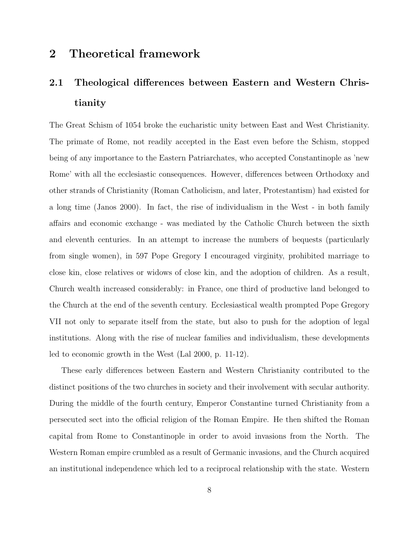# <span id="page-9-0"></span>2 Theoretical framework

# 2.1 Theological differences between Eastern and Western Christianity

The Great Schism of 1054 broke the eucharistic unity between East and West Christianity. The primate of Rome, not readily accepted in the East even before the Schism, stopped being of any importance to the Eastern Patriarchates, who accepted Constantinople as 'new Rome' with all the ecclesiastic consequences. However, differences between Orthodoxy and other strands of Christianity (Roman Catholicism, and later, Protestantism) had existed for a long time [\(Janos](#page-40-6) [2000\)](#page-40-6). In fact, the rise of individualism in the West - in both family affairs and economic exchange - was mediated by the Catholic Church between the sixth and eleventh centuries. In an attempt to increase the numbers of bequests (particularly from single women), in 597 Pope Gregory I encouraged virginity, prohibited marriage to close kin, close relatives or widows of close kin, and the adoption of children. As a result, Church wealth increased considerably: in France, one third of productive land belonged to the Church at the end of the seventh century. Ecclesiastical wealth prompted Pope Gregory VII not only to separate itself from the state, but also to push for the adoption of legal institutions. Along with the rise of nuclear families and individualism, these developments led to economic growth in the West [\(Lal](#page-40-10) [2000,](#page-40-10) p. 11-12).

These early differences between Eastern and Western Christianity contributed to the distinct positions of the two churches in society and their involvement with secular authority. During the middle of the fourth century, Emperor Constantine turned Christianity from a persecuted sect into the official religion of the Roman Empire. He then shifted the Roman capital from Rome to Constantinople in order to avoid invasions from the North. The Western Roman empire crumbled as a result of Germanic invasions, and the Church acquired an institutional independence which led to a reciprocal relationship with the state. Western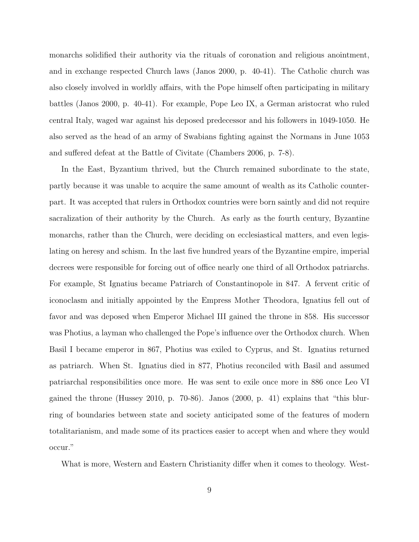monarchs solidified their authority via the rituals of coronation and religious anointment, and in exchange respected Church laws [\(Janos](#page-40-6) [2000,](#page-40-6) p. 40-41). The Catholic church was also closely involved in worldly affairs, with the Pope himself often participating in military battles [\(Janos](#page-40-6) [2000,](#page-40-6) p. 40-41). For example, Pope Leo IX, a German aristocrat who ruled central Italy, waged war against his deposed predecessor and his followers in 1049-1050. He also served as the head of an army of Swabians fighting against the Normans in June 1053 and suffered defeat at the Battle of Civitate [\(Chambers](#page-39-8) [2006,](#page-39-8) p. 7-8).

In the East, Byzantium thrived, but the Church remained subordinate to the state, partly because it was unable to acquire the same amount of wealth as its Catholic counterpart. It was accepted that rulers in Orthodox countries were born saintly and did not require sacralization of their authority by the Church. As early as the fourth century, Byzantine monarchs, rather than the Church, were deciding on ecclesiastical matters, and even legislating on heresy and schism. In the last five hundred years of the Byzantine empire, imperial decrees were responsible for forcing out of office nearly one third of all Orthodox patriarchs. For example, St Ignatius became Patriarch of Constantinopole in 847. A fervent critic of iconoclasm and initially appointed by the Empress Mother Theodora, Ignatius fell out of favor and was deposed when Emperor Michael III gained the throne in 858. His successor was Photius, a layman who challenged the Pope's influence over the Orthodox church. When Basil I became emperor in 867, Photius was exiled to Cyprus, and St. Ignatius returned as patriarch. When St. Ignatius died in 877, Photius reconciled with Basil and assumed patriarchal responsibilities once more. He was sent to exile once more in 886 once Leo VI gained the throne [\(Hussey](#page-40-11) [2010,](#page-40-11) p. 70-86). [Janos](#page-40-6) [\(2000,](#page-40-6) p. 41) explains that "this blurring of boundaries between state and society anticipated some of the features of modern totalitarianism, and made some of its practices easier to accept when and where they would occur."

What is more, Western and Eastern Christianity differ when it comes to theology. West-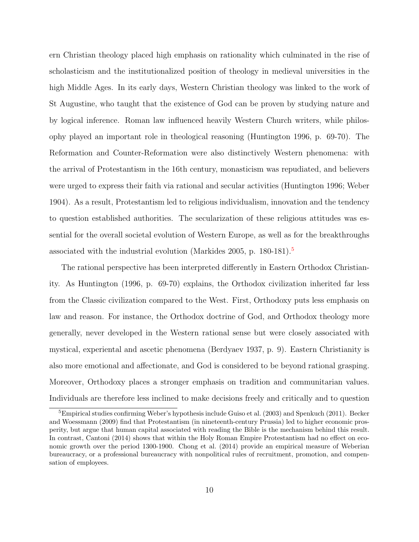ern Christian theology placed high emphasis on rationality which culminated in the rise of scholasticism and the institutionalized position of theology in medieval universities in the high Middle Ages. In its early days, Western Christian theology was linked to the work of St Augustine, who taught that the existence of God can be proven by studying nature and by logical inference. Roman law influenced heavily Western Church writers, while philosophy played an important role in theological reasoning [\(Huntington](#page-40-12) [1996,](#page-40-12) p. 69-70). The Reformation and Counter-Reformation were also distinctively Western phenomena: with the arrival of Protestantism in the 16th century, monasticism was repudiated, and believers were urged to express their faith via rational and secular activities [\(Huntington](#page-40-12) [1996;](#page-40-12) [Weber](#page-42-0) [1904\)](#page-42-0). As a result, Protestantism led to religious individualism, innovation and the tendency to question established authorities. The secularization of these religious attitudes was essential for the overall societal evolution of Western Europe, as well as for the breakthroughs associated with the industrial evolution [\(Markides](#page-40-13) [2005,](#page-40-13) p. 180-181). $\delta$ 

The rational perspective has been interpreted differently in Eastern Orthodox Christianity. As [Huntington](#page-40-12) [\(1996,](#page-40-12) p. 69-70) explains, the Orthodox civilization inherited far less from the Classic civilization compared to the West. First, Orthodoxy puts less emphasis on law and reason. For instance, the Orthodox doctrine of God, and Orthodox theology more generally, never developed in the Western rational sense but were closely associated with mystical, experiental and ascetic phenomena [\(Berdyaev](#page-38-7) [1937,](#page-38-7) p. 9). Eastern Christianity is also more emotional and affectionate, and God is considered to be beyond rational grasping. Moreover, Orthodoxy places a stronger emphasis on tradition and communitarian values. Individuals are therefore less inclined to make decisions freely and critically and to question

<span id="page-11-0"></span> $5$ Empirical studies confirming Weber's hypothesis include [Guiso et al.](#page-40-0) [\(2003\)](#page-40-0) and [Spenkuch](#page-41-7) [\(2011\)](#page-41-7). [Becker](#page-38-12) [and Woessmann](#page-38-12) [\(2009\)](#page-38-12) find that Protestantism (in nineteenth-century Prussia) led to higher economic prosperity, but argue that human capital associated with reading the Bible is the mechanism behind this result. In contrast, [Cantoni](#page-39-7) [\(2014\)](#page-39-7) shows that within the Holy Roman Empire Protestantism had no effect on economic growth over the period 1300-1900. [Chong et al.](#page-39-9) [\(2014\)](#page-39-9) provide an empirical measure of Weberian bureaucracy, or a professional bureaucracy with nonpolitical rules of recruitment, promotion, and compensation of employees.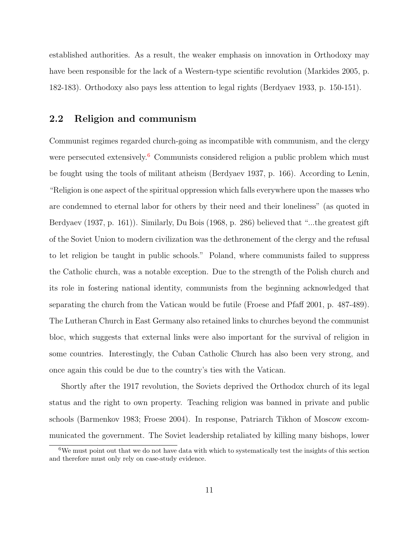established authorities. As a result, the weaker emphasis on innovation in Orthodoxy may have been responsible for the lack of a Western-type scientific revolution [\(Markides](#page-40-13) [2005,](#page-40-13) p. 182-183). Orthodoxy also pays less attention to legal rights [\(Berdyaev](#page-38-6) [1933,](#page-38-6) p. 150-151).

#### 2.2 Religion and communism

Communist regimes regarded church-going as incompatible with communism, and the clergy were persecuted extensively.<sup>[6](#page-12-0)</sup> Communists considered religion a public problem which must be fought using the tools of militant atheism [\(Berdyaev](#page-38-7) [1937,](#page-38-7) p. 166). According to Lenin, "Religion is one aspect of the spiritual oppression which falls everywhere upon the masses who are condemned to eternal labor for others by their need and their loneliness" (as quoted in [Berdyaev](#page-38-7) [\(1937,](#page-38-7) p. 161)). Similarly, [Du Bois](#page-39-10) [\(1968,](#page-39-10) p. 286) believed that "...the greatest gift of the Soviet Union to modern civilization was the dethronement of the clergy and the refusal to let religion be taught in public schools." Poland, where communists failed to suppress the Catholic church, was a notable exception. Due to the strength of the Polish church and its role in fostering national identity, communists from the beginning acknowledged that separating the church from the Vatican would be futile [\(Froese and Pfaff](#page-40-14) [2001,](#page-40-14) p. 487-489). The Lutheran Church in East Germany also retained links to churches beyond the communist bloc, which suggests that external links were also important for the survival of religion in some countries. Interestingly, the Cuban Catholic Church has also been very strong, and once again this could be due to the country's ties with the Vatican.

Shortly after the 1917 revolution, the Soviets deprived the Orthodox church of its legal status and the right to own property. Teaching religion was banned in private and public schools [\(Barmenkov](#page-38-13) [1983;](#page-38-13) [Froese](#page-40-15) [2004\)](#page-40-15). In response, Patriarch Tikhon of Moscow excommunicated the government. The Soviet leadership retaliated by killing many bishops, lower

<span id="page-12-0"></span><sup>&</sup>lt;sup>6</sup>We must point out that we do not have data with which to systematically test the insights of this section and therefore must only rely on case-study evidence.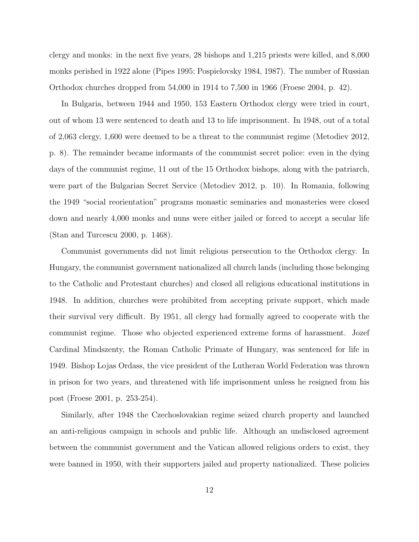clergy and monks: in the next five years, 28 bishops and 1,215 priests were killed, and 8,000 monks perished in 1922 alone [\(Pipes](#page-41-8) [1995;](#page-41-8) [Pospielovsky](#page-41-9) [1984,](#page-41-9) [1987\)](#page-41-10). The number of Russian Orthodox churches dropped from 54,000 in 1914 to 7,500 in 1966 [\(Froese](#page-40-15) [2004,](#page-40-15) p. 42).

In Bulgaria, between 1944 and 1950, 153 Eastern Orthodox clergy were tried in court, out of whom 13 were sentenced to death and 13 to life imprisonment. In 1948, out of a total of 2,063 clergy, 1,600 were deemed to be a threat to the communist regime [\(Metodiev](#page-41-11) [2012,](#page-41-11) p. 8). The remainder became informants of the communist secret police: even in the dying days of the communist regime, 11 out of the 15 Orthodox bishops, along with the patriarch, were part of the Bulgarian Secret Service [\(Metodiev](#page-41-11) [2012,](#page-41-11) p. 10). In Romania, following the 1949 "social reorientation" programs monastic seminaries and monasteries were closed down and nearly 4,000 monks and nuns were either jailed or forced to accept a secular life [\(Stan and Turcescu](#page-41-12) [2000,](#page-41-12) p. 1468).

Communist governments did not limit religious persecution to the Orthodox clergy. In Hungary, the communist government nationalized all church lands (including those belonging to the Catholic and Protestant churches) and closed all religious educational institutions in 1948. In addition, churches were prohibited from accepting private support, which made their survival very difficult. By 1951, all clergy had formally agreed to cooperate with the communist regime. Those who objected experienced extreme forms of harassment. Jozef Cardinal Mindszenty, the Roman Catholic Primate of Hungary, was sentenced for life in 1949. Bishop Lojas Ordass, the vice president of the Lutheran World Federation was thrown in prison for two years, and threatened with life imprisonment unless he resigned from his post [\(Froese](#page-39-11) [2001,](#page-39-11) p. 253-254).

Similarly, after 1948 the Czechoslovakian regime seized church property and launched an anti-religious campaign in schools and public life. Although an undisclosed agreement between the communist government and the Vatican allowed religious orders to exist, they were banned in 1950, with their supporters jailed and property nationalized. These policies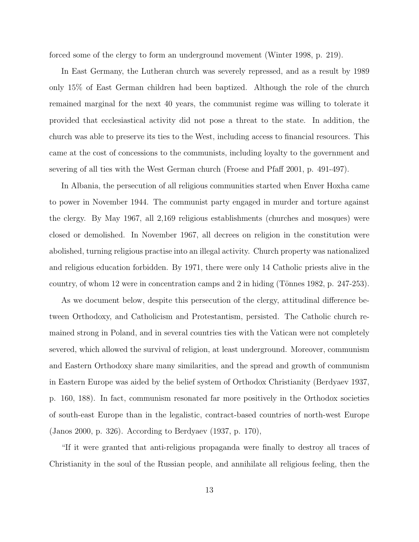forced some of the clergy to form an underground movement [\(Winter](#page-42-1) [1998,](#page-42-1) p. 219).

In East Germany, the Lutheran church was severely repressed, and as a result by 1989 only 15% of East German children had been baptized. Although the role of the church remained marginal for the next 40 years, the communist regime was willing to tolerate it provided that ecclesiastical activity did not pose a threat to the state. In addition, the church was able to preserve its ties to the West, including access to financial resources. This came at the cost of concessions to the communists, including loyalty to the government and severing of all ties with the West German church [\(Froese and Pfaff](#page-40-14) [2001,](#page-40-14) p. 491-497).

In Albania, the persecution of all religious communities started when Enver Hoxha came to power in November 1944. The communist party engaged in murder and torture against the clergy. By May 1967, all 2,169 religious establishments (churches and mosques) were closed or demolished. In November 1967, all decrees on religion in the constitution were abolished, turning religious practise into an illegal activity. Church property was nationalized and religious education forbidden. By 1971, there were only 14 Catholic priests alive in the country, of whom 12 were in concentration camps and 2 in hiding (Tönnes [1982,](#page-41-13) p. 247-253).

As we document below, despite this persecution of the clergy, attitudinal difference between Orthodoxy, and Catholicism and Protestantism, persisted. The Catholic church remained strong in Poland, and in several countries ties with the Vatican were not completely severed, which allowed the survival of religion, at least underground. Moreover, communism and Eastern Orthodoxy share many similarities, and the spread and growth of communism in Eastern Europe was aided by the belief system of Orthodox Christianity [\(Berdyaev](#page-38-7) [1937,](#page-38-7) p. 160, 188). In fact, communism resonated far more positively in the Orthodox societies of south-east Europe than in the legalistic, contract-based countries of north-west Europe [\(Janos](#page-40-6) [2000,](#page-40-6) p. 326). According to [Berdyaev](#page-38-7) [\(1937,](#page-38-7) p. 170),

"If it were granted that anti-religious propaganda were finally to destroy all traces of Christianity in the soul of the Russian people, and annihilate all religious feeling, then the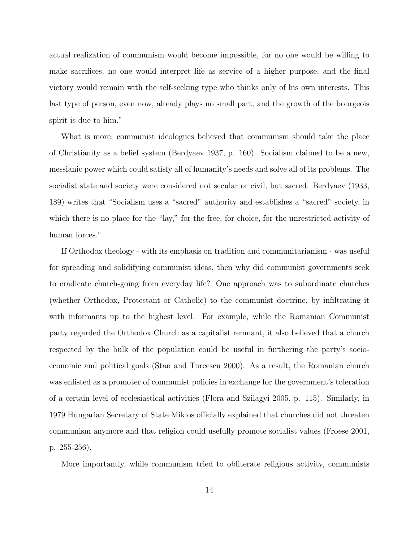actual realization of communism would become impossible, for no one would be willing to make sacrifices, no one would interpret life as service of a higher purpose, and the final victory would remain with the self-seeking type who thinks only of his own interests. This last type of person, even now, already plays no small part, and the growth of the bourgeois spirit is due to him."

What is more, communist ideologues believed that communism should take the place of Christianity as a belief system [\(Berdyaev](#page-38-7) [1937,](#page-38-7) p. 160). Socialism claimed to be a new, messianic power which could satisfy all of humanity's needs and solve all of its problems. The socialist state and society were considered not secular or civil, but sacred. [Berdyaev](#page-38-6) [\(1933,](#page-38-6) 189) writes that "Socialism uses a "sacred" authority and establishes a "sacred" society, in which there is no place for the "lay," for the free, for choice, for the unrestricted activity of human forces."

If Orthodox theology - with its emphasis on tradition and communitarianism - was useful for spreading and solidifying communist ideas, then why did communist governments seek to eradicate church-going from everyday life? One approach was to subordinate churches (whether Orthodox, Protestant or Catholic) to the communist doctrine, by infiltrating it with informants up to the highest level. For example, while the Romanian Communist party regarded the Orthodox Church as a capitalist remnant, it also believed that a church respected by the bulk of the population could be useful in furthering the party's socioeconomic and political goals [\(Stan and Turcescu](#page-41-12) [2000\)](#page-41-12). As a result, the Romanian church was enlisted as a promoter of communist policies in exchange for the government's toleration of a certain level of ecclesiastical activities [\(Flora and Szilagyi](#page-39-12) [2005,](#page-39-12) p. 115). Similarly, in 1979 Hungarian Secretary of State Miklos officially explained that churches did not threaten communism anymore and that religion could usefully promote socialist values [\(Froese](#page-39-11) [2001,](#page-39-11) p. 255-256).

More importantly, while communism tried to obliterate religious activity, communists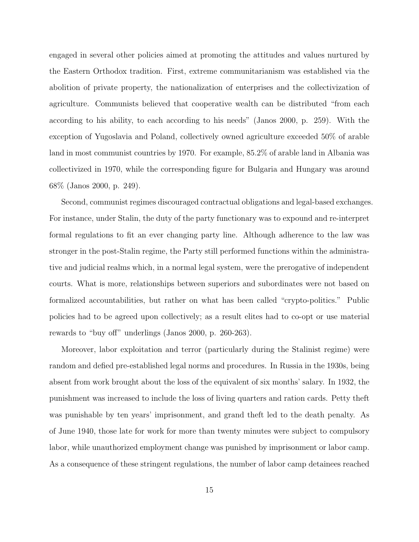engaged in several other policies aimed at promoting the attitudes and values nurtured by the Eastern Orthodox tradition. First, extreme communitarianism was established via the abolition of private property, the nationalization of enterprises and the collectivization of agriculture. Communists believed that cooperative wealth can be distributed "from each according to his ability, to each according to his needs" [\(Janos](#page-40-6) [2000,](#page-40-6) p. 259). With the exception of Yugoslavia and Poland, collectively owned agriculture exceeded 50% of arable land in most communist countries by 1970. For example, 85.2% of arable land in Albania was collectivized in 1970, while the corresponding figure for Bulgaria and Hungary was around 68% [\(Janos](#page-40-6) [2000,](#page-40-6) p. 249).

Second, communist regimes discouraged contractual obligations and legal-based exchanges. For instance, under Stalin, the duty of the party functionary was to expound and re-interpret formal regulations to fit an ever changing party line. Although adherence to the law was stronger in the post-Stalin regime, the Party still performed functions within the administrative and judicial realms which, in a normal legal system, were the prerogative of independent courts. What is more, relationships between superiors and subordinates were not based on formalized accountabilities, but rather on what has been called "crypto-politics." Public policies had to be agreed upon collectively; as a result elites had to co-opt or use material rewards to "buy off" underlings [\(Janos](#page-40-6) [2000,](#page-40-6) p. 260-263).

Moreover, labor exploitation and terror (particularly during the Stalinist regime) were random and defied pre-established legal norms and procedures. In Russia in the 1930s, being absent from work brought about the loss of the equivalent of six months' salary. In 1932, the punishment was increased to include the loss of living quarters and ration cards. Petty theft was punishable by ten years' imprisonment, and grand theft led to the death penalty. As of June 1940, those late for work for more than twenty minutes were subject to compulsory labor, while unauthorized employment change was punished by imprisonment or labor camp. As a consequence of these stringent regulations, the number of labor camp detainees reached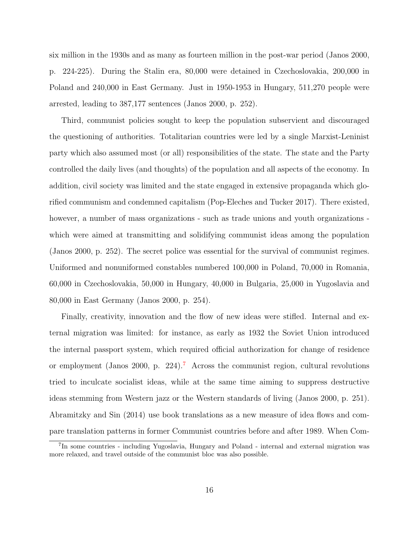six million in the 1930s and as many as fourteen million in the post-war period [\(Janos](#page-40-6) [2000,](#page-40-6) p. 224-225). During the Stalin era, 80,000 were detained in Czechoslovakia, 200,000 in Poland and 240,000 in East Germany. Just in 1950-1953 in Hungary, 511,270 people were arrested, leading to 387,177 sentences [\(Janos](#page-40-6) [2000,](#page-40-6) p. 252).

Third, communist policies sought to keep the population subservient and discouraged the questioning of authorities. Totalitarian countries were led by a single Marxist-Leninist party which also assumed most (or all) responsibilities of the state. The state and the Party controlled the daily lives (and thoughts) of the population and all aspects of the economy. In addition, civil society was limited and the state engaged in extensive propaganda which glorified communism and condemned capitalism [\(Pop-Eleches and Tucker](#page-41-14) [2017\)](#page-41-14). There existed, however, a number of mass organizations - such as trade unions and youth organizations which were aimed at transmitting and solidifying communist ideas among the population [\(Janos](#page-40-6) [2000,](#page-40-6) p. 252). The secret police was essential for the survival of communist regimes. Uniformed and nonuniformed constables numbered 100,000 in Poland, 70,000 in Romania, 60,000 in Czechoslovakia, 50,000 in Hungary, 40,000 in Bulgaria, 25,000 in Yugoslavia and 80,000 in East Germany [\(Janos](#page-40-6) [2000,](#page-40-6) p. 254).

Finally, creativity, innovation and the flow of new ideas were stifled. Internal and external migration was limited: for instance, as early as 1932 the Soviet Union introduced the internal passport system, which required official authorization for change of residence or employment [\(Janos](#page-40-6) [2000,](#page-40-6) p. 224).[7](#page-17-0) Across the communist region, cultural revolutions tried to inculcate socialist ideas, while at the same time aiming to suppress destructive ideas stemming from Western jazz or the Western standards of living [\(Janos](#page-40-6) [2000,](#page-40-6) p. 251). [Abramitzky and Sin](#page-38-14) [\(2014\)](#page-38-14) use book translations as a new measure of idea flows and compare translation patterns in former Communist countries before and after 1989. When Com-

<span id="page-17-0"></span><sup>&</sup>lt;sup>7</sup>In some countries - including Yugoslavia, Hungary and Poland - internal and external migration was more relaxed, and travel outside of the communist bloc was also possible.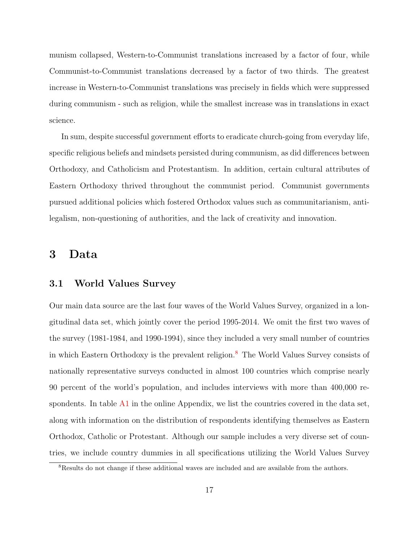munism collapsed, Western-to-Communist translations increased by a factor of four, while Communist-to-Communist translations decreased by a factor of two thirds. The greatest increase in Western-to-Communist translations was precisely in fields which were suppressed during communism - such as religion, while the smallest increase was in translations in exact science.

In sum, despite successful government efforts to eradicate church-going from everyday life, specific religious beliefs and mindsets persisted during communism, as did differences between Orthodoxy, and Catholicism and Protestantism. In addition, certain cultural attributes of Eastern Orthodoxy thrived throughout the communist period. Communist governments pursued additional policies which fostered Orthodox values such as communitarianism, antilegalism, non-questioning of authorities, and the lack of creativity and innovation.

### <span id="page-18-0"></span>3 Data

#### 3.1 World Values Survey

Our main data source are the last four waves of the World Values Survey, organized in a longitudinal data set, which jointly cover the period 1995-2014. We omit the first two waves of the survey (1981-1984, and 1990-1994), since they included a very small number of countries in which Eastern Orthodoxy is the prevalent religion.<sup>[8](#page-18-1)</sup> The World Values Survey consists of nationally representative surveys conducted in almost 100 countries which comprise nearly 90 percent of the world's population, and includes interviews with more than 400,000 respondents. In table  $\overline{A1}$  $\overline{A1}$  $\overline{A1}$  in the online Appendix, we list the countries covered in the data set, along with information on the distribution of respondents identifying themselves as Eastern Orthodox, Catholic or Protestant. Although our sample includes a very diverse set of countries, we include country dummies in all specifications utilizing the World Values Survey

<span id="page-18-1"></span><sup>8</sup>Results do not change if these additional waves are included and are available from the authors.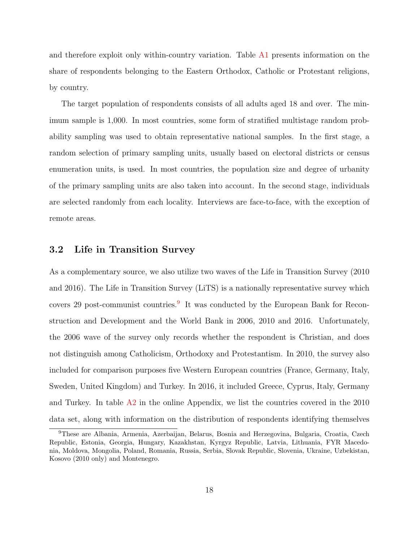and therefore exploit only within-country variation. Table [A1](#page-44-0) presents information on the share of respondents belonging to the Eastern Orthodox, Catholic or Protestant religions, by country.

The target population of respondents consists of all adults aged 18 and over. The minimum sample is 1,000. In most countries, some form of stratified multistage random probability sampling was used to obtain representative national samples. In the first stage, a random selection of primary sampling units, usually based on electoral districts or census enumeration units, is used. In most countries, the population size and degree of urbanity of the primary sampling units are also taken into account. In the second stage, individuals are selected randomly from each locality. Interviews are face-to-face, with the exception of remote areas.

#### 3.2 Life in Transition Survey

As a complementary source, we also utilize two waves of the Life in Transition Survey (2010 and 2016). The Life in Transition Survey (LiTS) is a nationally representative survey which covers 2[9](#page-19-0) post-communist countries.<sup>9</sup> It was conducted by the European Bank for Reconstruction and Development and the World Bank in 2006, 2010 and 2016. Unfortunately, the 2006 wave of the survey only records whether the respondent is Christian, and does not distinguish among Catholicism, Orthodoxy and Protestantism. In 2010, the survey also included for comparison purposes five Western European countries (France, Germany, Italy, Sweden, United Kingdom) and Turkey. In 2016, it included Greece, Cyprus, Italy, Germany and Turkey. In table  $\Lambda$ 2 in the online Appendix, we list the countries covered in the 2010 data set, along with information on the distribution of respondents identifying themselves

<span id="page-19-0"></span><sup>9</sup>These are Albania, Armenia, Azerbaijan, Belarus, Bosnia and Herzegovina, Bulgaria, Croatia, Czech Republic, Estonia, Georgia, Hungary, Kazakhstan, Kyrgyz Republic, Latvia, Lithuania, FYR Macedonia, Moldova, Mongolia, Poland, Romania, Russia, Serbia, Slovak Republic, Slovenia, Ukraine, Uzbekistan, Kosovo (2010 only) and Montenegro.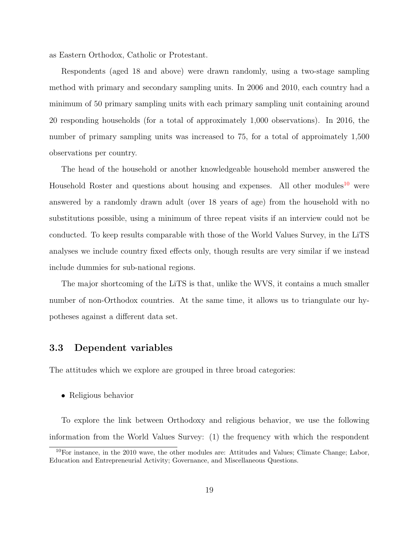as Eastern Orthodox, Catholic or Protestant.

Respondents (aged 18 and above) were drawn randomly, using a two-stage sampling method with primary and secondary sampling units. In 2006 and 2010, each country had a minimum of 50 primary sampling units with each primary sampling unit containing around 20 responding households (for a total of approximately 1,000 observations). In 2016, the number of primary sampling units was increased to 75, for a total of approimately 1,500 observations per country.

The head of the household or another knowledgeable household member answered the Household Roster and questions about housing and expenses. All other modules<sup>[10](#page-20-0)</sup> were answered by a randomly drawn adult (over 18 years of age) from the household with no substitutions possible, using a minimum of three repeat visits if an interview could not be conducted. To keep results comparable with those of the World Values Survey, in the LiTS analyses we include country fixed effects only, though results are very similar if we instead include dummies for sub-national regions.

The major shortcoming of the LiTS is that, unlike the WVS, it contains a much smaller number of non-Orthodox countries. At the same time, it allows us to triangulate our hypotheses against a different data set.

#### 3.3 Dependent variables

The attitudes which we explore are grouped in three broad categories:

• Religious behavior

To explore the link between Orthodoxy and religious behavior, we use the following information from the World Values Survey: (1) the frequency with which the respondent

<span id="page-20-0"></span> $10$ For instance, in the 2010 wave, the other modules are: Attitudes and Values; Climate Change; Labor, Education and Entrepreneurial Activity; Governance, and Miscellaneous Questions.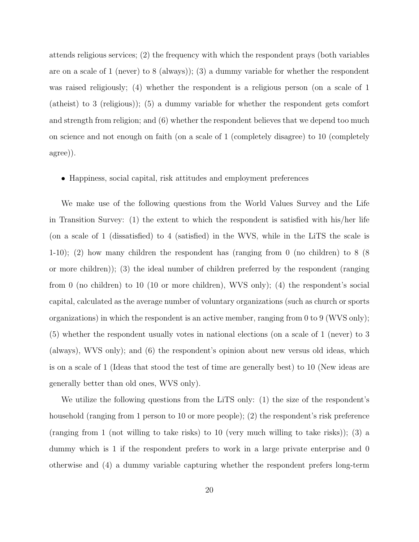attends religious services; (2) the frequency with which the respondent prays (both variables are on a scale of 1 (never) to 8 (always)); (3) a dummy variable for whether the respondent was raised religiously; (4) whether the respondent is a religious person (on a scale of 1 (atheist) to 3 (religious)); (5) a dummy variable for whether the respondent gets comfort and strength from religion; and (6) whether the respondent believes that we depend too much on science and not enough on faith (on a scale of 1 (completely disagree) to 10 (completely agree)).

#### • Happiness, social capital, risk attitudes and employment preferences

We make use of the following questions from the World Values Survey and the Life in Transition Survey: (1) the extent to which the respondent is satisfied with his/her life (on a scale of 1 (dissatisfied) to 4 (satisfied) in the WVS, while in the LiTS the scale is 1-10); (2) how many children the respondent has (ranging from 0 (no children) to 8 (8 or more children)); (3) the ideal number of children preferred by the respondent (ranging from 0 (no children) to 10 (10 or more children), WVS only); (4) the respondent's social capital, calculated as the average number of voluntary organizations (such as church or sports organizations) in which the respondent is an active member, ranging from 0 to 9 (WVS only); (5) whether the respondent usually votes in national elections (on a scale of 1 (never) to 3 (always), WVS only); and (6) the respondent's opinion about new versus old ideas, which is on a scale of 1 (Ideas that stood the test of time are generally best) to 10 (New ideas are generally better than old ones, WVS only).

We utilize the following questions from the LiTS only: (1) the size of the respondent's household (ranging from 1 person to 10 or more people); (2) the respondent's risk preference (ranging from 1 (not willing to take risks) to 10 (very much willing to take risks)); (3) a dummy which is 1 if the respondent prefers to work in a large private enterprise and 0 otherwise and (4) a dummy variable capturing whether the respondent prefers long-term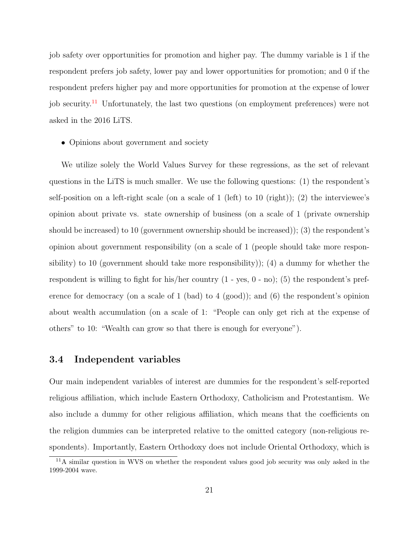job safety over opportunities for promotion and higher pay. The dummy variable is 1 if the respondent prefers job safety, lower pay and lower opportunities for promotion; and 0 if the respondent prefers higher pay and more opportunities for promotion at the expense of lower job security.<sup>[11](#page-22-0)</sup> Unfortunately, the last two questions (on employment preferences) were not asked in the 2016 LiTS.

• Opinions about government and society

We utilize solely the World Values Survey for these regressions, as the set of relevant questions in the LiTS is much smaller. We use the following questions: (1) the respondent's self-position on a left-right scale (on a scale of 1 (left) to 10 (right)); (2) the interviewee's opinion about private vs. state ownership of business (on a scale of 1 (private ownership should be increased) to 10 (government ownership should be increased)); (3) the respondent's opinion about government responsibility (on a scale of 1 (people should take more responsibility) to 10 (government should take more responsibility)); (4) a dummy for whether the respondent is willing to fight for his/her country (1 - yes, 0 - no); (5) the respondent's preference for democracy (on a scale of 1 (bad) to 4 (good)); and (6) the respondent's opinion about wealth accumulation (on a scale of 1: "People can only get rich at the expense of others" to 10: "Wealth can grow so that there is enough for everyone").

#### 3.4 Independent variables

Our main independent variables of interest are dummies for the respondent's self-reported religious affiliation, which include Eastern Orthodoxy, Catholicism and Protestantism. We also include a dummy for other religious affiliation, which means that the coefficients on the religion dummies can be interpreted relative to the omitted category (non-religious respondents). Importantly, Eastern Orthodoxy does not include Oriental Orthodoxy, which is

<span id="page-22-0"></span><sup>11</sup>A similar question in WVS on whether the respondent values good job security was only asked in the 1999-2004 wave.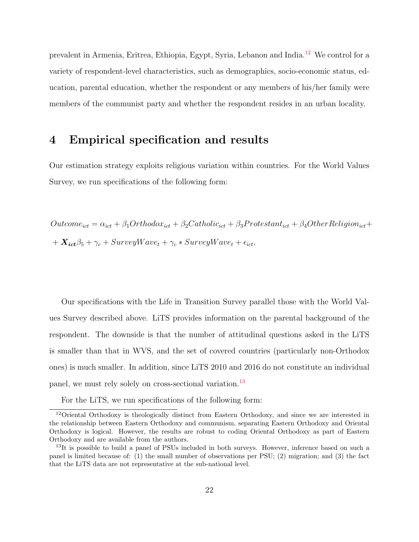prevalent in Armenia, Eritrea, Ethiopia, Egypt, Syria, Lebanon and India.[12](#page-23-0) We control for a variety of respondent-level characteristics, such as demographics, socio-economic status, education, parental education, whether the respondent or any members of his/her family were members of the communist party and whether the respondent resides in an urban locality.

## 4 Empirical specification and results

Our estimation strategy exploits religious variation within countries. For the World Values Survey, we run specifications of the following form:

 $Outcome_{ict} = \alpha_{ict} + \beta_1 Orthodox_{ict} + \beta_2Catholic_{ict} + \beta_3Protestant_{ict} + \beta_4Other Religion_{ict} +$  $+ X_{ict} \beta_5 + \gamma_c + SurveyWave_t + \gamma_c * SurveyWave_t + \epsilon_{ict},$ 

Our specifications with the Life in Transition Survey parallel those with the World Values Survey described above. LiTS provides information on the parental background of the respondent. The downside is that the number of attitudinal questions asked in the LiTS is smaller than that in WVS, and the set of covered countries (particularly non-Orthodox ones) is much smaller. In addition, since LiTS 2010 and 2016 do not constitute an individual panel, we must rely solely on cross-sectional variation.<sup>[13](#page-23-1)</sup>

<span id="page-23-0"></span>For the LiTS, we run specifications of the following form:

<sup>12</sup>Oriental Orthodoxy is theologically distinct from Eastern Orthodoxy, and since we are interested in the relationship between Eastern Orthodoxy and communism, separating Eastern Orthodoxy and Oriental Orthodoxy is logical. However, the results are robust to coding Oriental Orthodoxy as part of Eastern Orthodoxy and are available from the authors.

<span id="page-23-1"></span><sup>&</sup>lt;sup>13</sup>It is possible to build a panel of PSUs included in both surveys. However, inference based on such a panel is limited because of: (1) the small number of observations per PSU; (2) migration; and (3) the fact that the LiTS data are not representative at the sub-national level.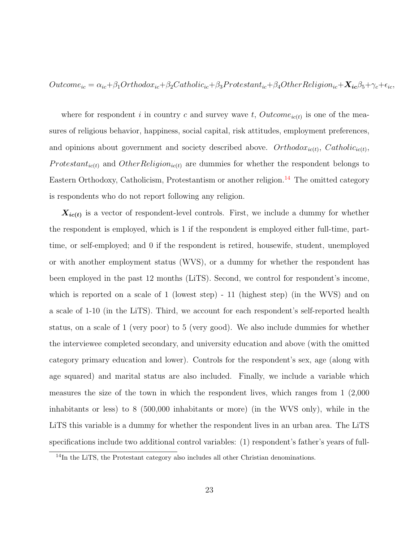$Outcome_{ic} = \alpha_{ic} + \beta_1 Orthodox_{ic} + \beta_2 Catholic_{ic} + \beta_3 Protestant_{ic} + \beta_4 Other Religion_{ic} + \mathbf{X_{ic}}\beta_5 + \gamma_c + \epsilon_{ic},$ 

where for respondent i in country c and survey wave t,  $Outcome_{ic(t)}$  is one of the measures of religious behavior, happiness, social capital, risk attitudes, employment preferences, and opinions about government and society described above.  $Orthodox_{ic(t)}$ ,  $Catholic_{ic(t)}$ , *Protestant<sub>ic(t)</sub>* and *OtherReligion<sub>ic(t)</sub>* are dummies for whether the respondent belongs to Eastern Orthodoxy, Catholicism, Protestantism or another religion.<sup>[14](#page-24-0)</sup> The omitted category is respondents who do not report following any religion.

 $X_{ic(t)}$  is a vector of respondent-level controls. First, we include a dummy for whether the respondent is employed, which is 1 if the respondent is employed either full-time, parttime, or self-employed; and 0 if the respondent is retired, housewife, student, unemployed or with another employment status (WVS), or a dummy for whether the respondent has been employed in the past 12 months (LiTS). Second, we control for respondent's income, which is reported on a scale of 1 (lowest step) - 11 (highest step) (in the WVS) and on a scale of 1-10 (in the LiTS). Third, we account for each respondent's self-reported health status, on a scale of 1 (very poor) to 5 (very good). We also include dummies for whether the interviewee completed secondary, and university education and above (with the omitted category primary education and lower). Controls for the respondent's sex, age (along with age squared) and marital status are also included. Finally, we include a variable which measures the size of the town in which the respondent lives, which ranges from 1 (2,000 inhabitants or less) to 8 (500,000 inhabitants or more) (in the WVS only), while in the LiTS this variable is a dummy for whether the respondent lives in an urban area. The LiTS specifications include two additional control variables: (1) respondent's father's years of full-

<span id="page-24-0"></span><sup>&</sup>lt;sup>14</sup>In the LiTS, the Protestant category also includes all other Christian denominations.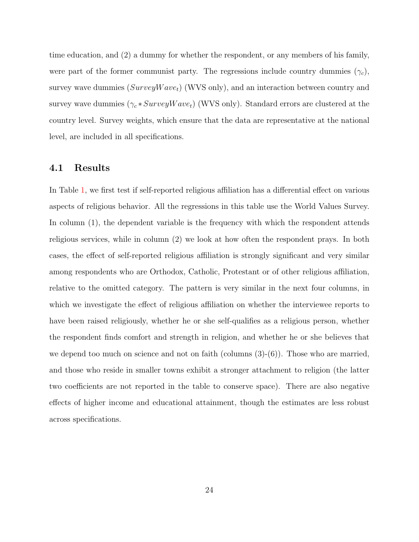time education, and (2) a dummy for whether the respondent, or any members of his family, were part of the former communist party. The regressions include country dummies  $(\gamma_c)$ , survey wave dummies  $(SurveyWave_t)$  (WVS only), and an interaction between country and survey wave dummies  $(\gamma_c * SurveyWave_t)$  (WVS only). Standard errors are clustered at the country level. Survey weights, which ensure that the data are representative at the national level, are included in all specifications.

#### 4.1 Results

In Table [1,](#page-26-0) we first test if self-reported religious affiliation has a differential effect on various aspects of religious behavior. All the regressions in this table use the World Values Survey. In column  $(1)$ , the dependent variable is the frequency with which the respondent attends religious services, while in column (2) we look at how often the respondent prays. In both cases, the effect of self-reported religious affiliation is strongly significant and very similar among respondents who are Orthodox, Catholic, Protestant or of other religious affiliation, relative to the omitted category. The pattern is very similar in the next four columns, in which we investigate the effect of religious affiliation on whether the interviewee reports to have been raised religiously, whether he or she self-qualifies as a religious person, whether the respondent finds comfort and strength in religion, and whether he or she believes that we depend too much on science and not on faith (columns  $(3)-(6)$ ). Those who are married, and those who reside in smaller towns exhibit a stronger attachment to religion (the latter two coefficients are not reported in the table to conserve space). There are also negative effects of higher income and educational attainment, though the estimates are less robust across specifications.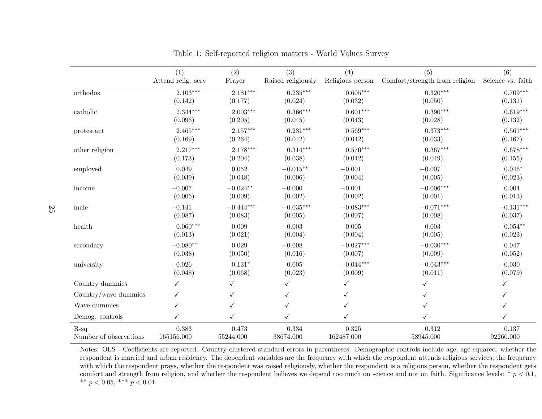|                           | (1)                | (2)         | (3)                | (4)              | (5)                            | (6)               |
|---------------------------|--------------------|-------------|--------------------|------------------|--------------------------------|-------------------|
|                           | Attend relig. serv | Prayer      | Raised religiously | Religious person | Comfort/strength from religion | Science vs. faith |
| $\operatorname{orthodox}$ | $2.103***$         | $2.181***$  | $0.235***$         | $0.605***$       | $0.320***$                     | $0.709***$        |
|                           | (0.142)            | (0.177)     | (0.024)            | (0.032)          | (0.050)                        | (0.131)           |
| catholic                  | $2.344***$         | $2.003***$  | $0.366***$         | $0.601***$       | $0.390***$                     | $0.619***$        |
|                           | (0.096)            | (0.205)     | (0.045)            | (0.043)          | (0.028)                        | (0.132)           |
| protestant                | $2.465***$         | $2.157***$  | $0.231***$         | $0.569***$       | $0.373***$                     | $0.561***$        |
|                           | (0.169)            | (0.264)     | (0.042)            | (0.042)          | (0.033)                        | (0.167)           |
| other religion            | $2.217***$         | $2.178***$  | $0.314***$         | $0.570***$       | $0.367***$                     | $0.678***$        |
|                           | (0.173)            | (0.204)     | (0.038)            | (0.042)          | (0.049)                        | (0.155)           |
| employed                  | 0.049              | 0.052       | $-0.015**$         | $-0.001$         | $-0.007$                       | $0.046*$          |
|                           | (0.039)            | (0.048)     | (0.006)            | (0.004)          | (0.005)                        | (0.023)           |
| income                    | $-0.007$           | $-0.024**$  | $-0.000$           | $-0.001$         | $-0.006***$                    | 0.004             |
|                           | (0.006)            | (0.009)     | (0.002)            | (0.002)          | (0.001)                        | (0.013)           |
| male                      | $-0.141$           | $-0.444***$ | $-0.035***$        | $-0.083***$      | $-0.071***$                    | $-0.131***$       |
|                           | (0.087)            | (0.083)     | (0.005)            | (0.007)          | (0.008)                        | (0.037)           |
| health                    | $0.060***$         | 0.009       | $-0.003$           | 0.005            | 0.003                          | $-0.054**$        |
|                           | (0.013)            | (0.021)     | (0.004)            | (0.004)          | (0.005)                        | (0.023)           |
| secondary                 | $-0.080**$         | 0.029       | $-0.008$           | $-0.027***$      | $-0.030***$                    | 0.047             |
|                           | (0.038)            | (0.050)     | (0.016)            | (0.007)          | (0.009)                        | (0.052)           |
| university                | 0.026              | $0.131*$    | 0.005              | $-0.044***$      | $-0.043***$                    | $-0.030$          |
|                           | (0.048)            | (0.068)     | (0.023)            | (0.009)          | (0.011)                        | (0.079)           |
| Country dummies           | ✓                  | ✓           | $\checkmark$       | $\checkmark$     |                                | $\checkmark$      |
| Country/wave dummies      | ✓                  |             | ✓                  | ✓                |                                | ✓                 |
| Wave dummies              |                    |             | ✓                  |                  |                                |                   |
| Demog. controls           | $\checkmark$       |             | ✓                  |                  |                                | ✓                 |
| $R-sq$                    | 0.383              | 0.473       | 0.334              | 0.325            | 0.312                          | 0.137             |
| Number of observations    | 165156.000         | 55244.000   | 38674.000          | 162487.000       | 58945.000                      | 92260.000         |

<span id="page-26-0"></span>Table 1: Self-reported religion matters - World Values Survey

Notes: OLS - Coefficients are reported. Country clustered standard errors in parentheses. Demographic controls include age, age squared, whether the respondent is married and urban residency. The dependent variables are the frequency with which the respondent attends religious services, the frequency with which the respondent prays, whether the respondent was raised religiously, whether the respondent is <sup>a</sup> religious person, whether the respondent getscomfort and strength from religion, and whether the respondent believes we depend too much on science and not on faith. Significance levels: \*  $p < 0.1$ , \*\*  $p < 0.05$ , \*\*\*  $p < 0.01$ .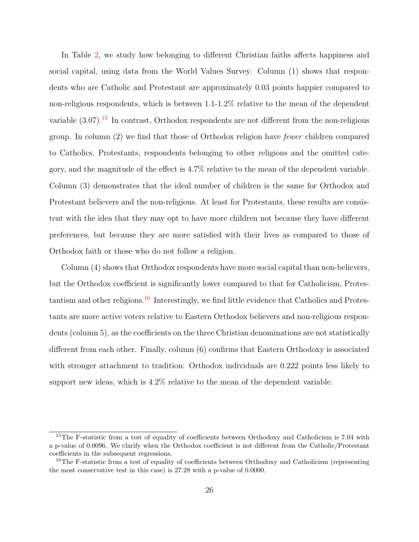In Table [2,](#page-28-0) we study how belonging to different Christian faiths affects happiness and social capital, using data from the World Values Survey. Column (1) shows that respondents who are Catholic and Protestant are approximately 0.03 points happier compared to non-religious respondents, which is between 1.1-1.2% relative to the mean of the dependent variable  $(3.07)$ .<sup>[15](#page-27-0)</sup> In contrast, Orthodox respondents are not different from the non-religious group. In column (2) we find that those of Orthodox religion have fewer children compared to Catholics, Protestants, respondents belonging to other religions and the omitted category, and the magnitude of the effect is 4.7% relative to the mean of the dependent variable. Column (3) demonstrates that the ideal number of children is the same for Orthodox and Protestant believers and the non-religious. At least for Protestants, these results are consistent with the idea that they may opt to have more children not because they have different preferences, but because they are more satisfied with their lives as compared to those of Orthodox faith or those who do not follow a religion.

Column (4) shows that Orthodox respondents have more social capital than non-believers, but the Orthodox coefficient is significantly lower compared to that for Catholicism, Protes-tantism and other religions.<sup>[16](#page-27-1)</sup> Interestingly, we find little evidence that Catholics and Protestants are more active voters relative to Eastern Orthodox believers and non-religious respondents (column 5), as the coefficients on the three Christian denominations are not statistically different from each other. Finally, column (6) confirms that Eastern Orthodoxy is associated with stronger attachment to tradition: Orthodox individuals are 0.222 points less likely to support new ideas, which is 4.2% relative to the mean of the dependent variable.

<span id="page-27-0"></span> $15$ The F-statistic from a test of equality of coefficients between Orthodoxy and Catholicism is 7.04 with a p-value of 0.0096. We clarify when the Orthodox coefficient is not different from the Catholic/Protestant coefficients in the subsequent regressions.

<span id="page-27-1"></span><sup>&</sup>lt;sup>16</sup>The F-statistic from a test of equality of coefficients between Orthodoxy and Catholicism (representing the most conservative test in this case) is 27.28 with a p-value of 0.0000.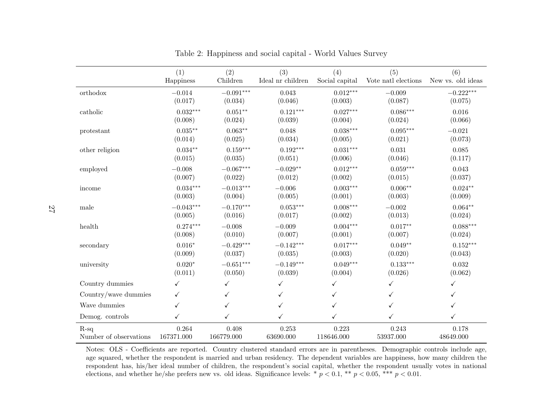|                        | (1)         | (2)         | (3)               | (4)            | (5)                 | (6)               |
|------------------------|-------------|-------------|-------------------|----------------|---------------------|-------------------|
|                        | Happiness   | Children    | Ideal nr children | Social capital | Vote natl elections | New vs. old ideas |
| orthodox               | $-0.014$    | $-0.091***$ | 0.043             | $0.012***$     | $-0.009$            | $-0.222***$       |
|                        | (0.017)     | (0.034)     | (0.046)           | (0.003)        | (0.087)             | (0.075)           |
| catholic               | $0.032***$  | $0.051**$   | $0.121***$        | $0.027***$     | $0.086***$          | 0.016             |
|                        | (0.008)     | (0.024)     | (0.039)           | (0.004)        | (0.024)             | (0.066)           |
| protestant             | $0.035**$   | $0.063**$   | 0.048             | $0.038***$     | $0.095***$          | $-0.021$          |
|                        | (0.014)     | (0.025)     | (0.034)           | (0.005)        | (0.021)             | (0.073)           |
| other religion         | $0.034**$   | $0.159***$  | $0.192***$        | $0.031***$     | 0.031               | 0.085             |
|                        | (0.015)     | (0.035)     | (0.051)           | (0.006)        | (0.046)             | (0.117)           |
| employed               | $-0.008$    | $-0.067***$ | $-0.029**$        | $0.012***$     | $0.059***$          | 0.043             |
|                        | (0.007)     | (0.022)     | (0.012)           | (0.002)        | (0.015)             | (0.037)           |
| income                 | $0.034***$  | $-0.013***$ | $-0.006$          | $0.003***$     | $0.006**$           | $0.024**$         |
|                        | (0.003)     | (0.004)     | (0.005)           | (0.001)        | (0.003)             | (0.009)           |
| male                   | $-0.043***$ | $-0.170***$ | $0.053***$        | $0.008***$     | $-0.002$            | $0.064**$         |
|                        | (0.005)     | (0.016)     | (0.017)           | (0.002)        | (0.013)             | (0.024)           |
| health                 | $0.274***$  | $-0.008$    | $-0.009$          | $0.004***$     | $0.017**$           | $0.088***$        |
|                        | (0.008)     | (0.010)     | (0.007)           | (0.001)        | (0.007)             | (0.024)           |
| secondary              | $0.016*$    | $-0.429***$ | $-0.142***$       | $0.017***$     | $0.049**$           | $0.152***$        |
|                        | (0.009)     | (0.037)     | (0.035)           | (0.003)        | (0.020)             | (0.043)           |
| university             | $0.020*$    | $-0.651***$ | $-0.149***$       | $0.049***$     | $0.133***$          | 0.032             |
|                        | (0.011)     | (0.050)     | (0.039)           | (0.004)        | (0.026)             | (0.062)           |
| Country dummies        | ✓           | ✓           | ✓                 |                | ✓                   | $\checkmark$      |
| Country/wave dummies   | ✓           | ✓           | ✓                 |                | ✓                   | ✓                 |
| Wave dummies           | ✓           |             | ✓                 |                |                     | ✓                 |
| Demog. controls        | ✓           | ✓           | $\checkmark$      | ✓              | ✓                   | ✓                 |
| $R-sq$                 | 0.264       | 0.408       | 0.253             | 0.223          | 0.243               | 0.178             |
| Number of observations | 167371.000  | 166779.000  | 63690.000         | 118646.000     | 53937.000           | 48649.000         |

<span id="page-28-0"></span>Table 2: Happiness and social capital - World Values Survey

Notes: OLS - Coefficients are reported. Country clustered standard errors are in parentheses. Demographic controls include age, age squared, whether the respondent is married and urban residency. The dependent variables are happiness, how many children the respondent has, his/her ideal number of children, the respondent's social capital, whether the respondent usually votes in nationalelections, and whether he/she prefers new vs. old ideas. Significance levels: \*  $p < 0.1$ , \*\*  $p < 0.05$ , \*\*\*  $p < 0.01$ .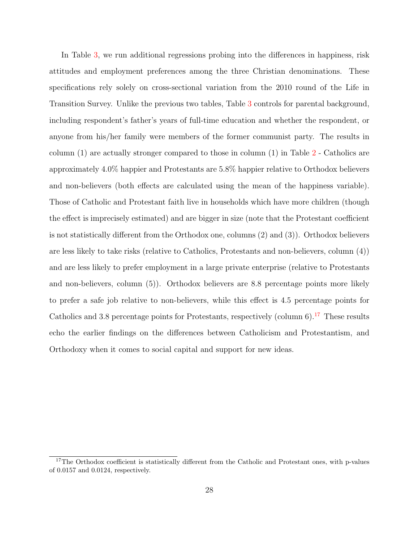In Table [3,](#page-30-0) we run additional regressions probing into the differences in happiness, risk attitudes and employment preferences among the three Christian denominations. These specifications rely solely on cross-sectional variation from the 2010 round of the Life in Transition Survey. Unlike the previous two tables, Table [3](#page-30-0) controls for parental background, including respondent's father's years of full-time education and whether the respondent, or anyone from his/her family were members of the former communist party. The results in column (1) are actually stronger compared to those in column (1) in Table [2](#page-28-0) - Catholics are approximately 4.0% happier and Protestants are 5.8% happier relative to Orthodox believers and non-believers (both effects are calculated using the mean of the happiness variable). Those of Catholic and Protestant faith live in households which have more children (though the effect is imprecisely estimated) and are bigger in size (note that the Protestant coefficient is not statistically different from the Orthodox one, columns (2) and (3)). Orthodox believers are less likely to take risks (relative to Catholics, Protestants and non-believers, column (4)) and are less likely to prefer employment in a large private enterprise (relative to Protestants and non-believers, column (5)). Orthodox believers are 8.8 percentage points more likely to prefer a safe job relative to non-believers, while this effect is 4.5 percentage points for Catholics and 3.8 percentage points for Protestants, respectively (column  $6$ ).<sup>[17](#page-29-0)</sup> These results echo the earlier findings on the differences between Catholicism and Protestantism, and Orthodoxy when it comes to social capital and support for new ideas.

<span id="page-29-0"></span><sup>&</sup>lt;sup>17</sup>The Orthodox coefficient is statistically different from the Catholic and Protestant ones, with p-values of 0.0157 and 0.0124, respectively.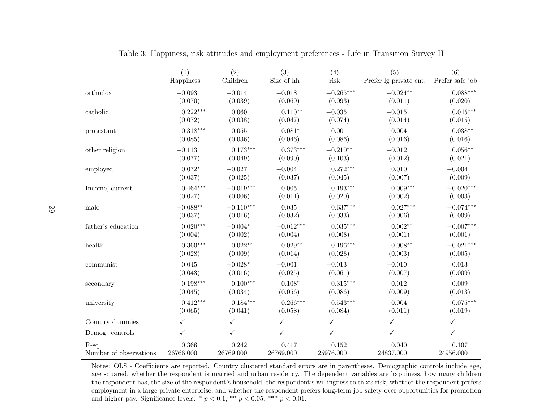|                        | (1)        | (2)          | (3)          | (4)          | (5)                    | (6)             |
|------------------------|------------|--------------|--------------|--------------|------------------------|-----------------|
|                        | Happiness  | Children     | Size of hh   | risk         | Prefer lg private ent. | Prefer safe job |
| orthodox               | $-0.093$   | $-0.014$     | $-0.018$     | $-0.265***$  | $-0.024**$             | $0.088***$      |
|                        | (0.070)    | (0.039)      | (0.069)      | (0.093)      | (0.011)                | (0.020)         |
| catholic               | $0.222***$ | 0.060        | $0.110**$    | $-0.035$     | $-0.015$               | $0.045***$      |
|                        | (0.072)    | (0.038)      | (0.047)      | (0.074)      | (0.014)                | (0.015)         |
| protestant             | $0.318***$ | 0.055        | $0.081*$     | 0.001        | 0.004                  | $0.038**$       |
|                        | (0.085)    | (0.036)      | (0.046)      | (0.086)      | (0.016)                | (0.016)         |
| other religion         | $-0.113$   | $0.173***$   | $0.373***$   | $-0.210**$   | $-0.012$               | $0.056**$       |
|                        | (0.077)    | (0.049)      | (0.090)      | (0.103)      | (0.012)                | (0.021)         |
| employed               | $0.072*$   | $-0.027$     | $-0.004$     | $0.272***$   | 0.010                  | $-0.004$        |
|                        | (0.037)    | (0.025)      | (0.037)      | (0.045)      | (0.007)                | (0.009)         |
| Income, current        | $0.464***$ | $-0.019***$  | 0.005        | $0.193***$   | $0.009***$             | $-0.020***$     |
|                        | (0.027)    | (0.006)      | (0.011)      | (0.020)      | (0.002)                | (0.003)         |
| male                   | $-0.088**$ | $-0.110***$  | 0.035        | $0.637***$   | $0.027***$             | $-0.074***$     |
|                        | (0.037)    | (0.016)      | (0.032)      | (0.033)      | (0.006)                | (0.009)         |
| father's education     | $0.020***$ | $-0.004*$    | $-0.012***$  | $0.035***$   | $0.002**$              | $-0.007***$     |
|                        | (0.004)    | (0.002)      | (0.004)      | (0.008)      | (0.001)                | (0.001)         |
| health                 | $0.360***$ | $0.022**$    | $0.029**$    | $0.196***$   | $0.008**$              | $-0.021***$     |
|                        | (0.028)    | (0.009)      | (0.014)      | (0.028)      | (0.003)                | (0.005)         |
| communist              | 0.045      | $-0.028*$    | $-0.001$     | $-0.013$     | $-0.010$               | 0.013           |
|                        | (0.043)    | (0.016)      | (0.025)      | (0.061)      | (0.007)                | (0.009)         |
| secondary              | $0.198***$ | $-0.100***$  | $-0.108*$    | $0.315***$   | $-0.012$               | $-0.009$        |
|                        | (0.045)    | (0.034)      | (0.056)      | (0.086)      | (0.009)                | (0.013)         |
| university             | $0.412***$ | $-0.184***$  | $-0.266***$  | $0.543***$   | $-0.004$               | $-0.075***$     |
|                        | (0.065)    | (0.041)      | (0.058)      | (0.084)      | (0.011)                | (0.019)         |
| Country dummies        | ✓          | $\checkmark$ | $\checkmark$ | $\checkmark$ | ✓                      | ✓               |
| Demog. controls        | ✓          | $\checkmark$ | $\checkmark$ | $\checkmark$ | $\checkmark$           | ✓               |
| $R-sq$                 | 0.366      | 0.242        | 0.417        | 0.152        | 0.040                  | 0.107           |
| Number of observations | 26766.000  | 26769.000    | 26769.000    | 25976.000    | 24837.000              | 24956.000       |

Table 3: Happiness, risk attitudes and employment preferences - Life in Transition Survey II

<span id="page-30-0"></span>Notes: OLS - Coefficients are reported. Country clustered standard errors are in parentheses. Demographic controls include age, age squared, whether the respondent is married and urban residency. The dependent variables are happiness, how many children the respondent has, the size of the respondent's household, the respondent's willingness to takes risk, whether the respondent prefers employment in <sup>a</sup> large private enterprise, and whether the respondent prefers long-term job safety over opportunities for promotionand higher pay. Significance levels: \*  $p < 0.1$ , \*\*  $p < 0.05$ , \*\*\*  $p < 0.01$ .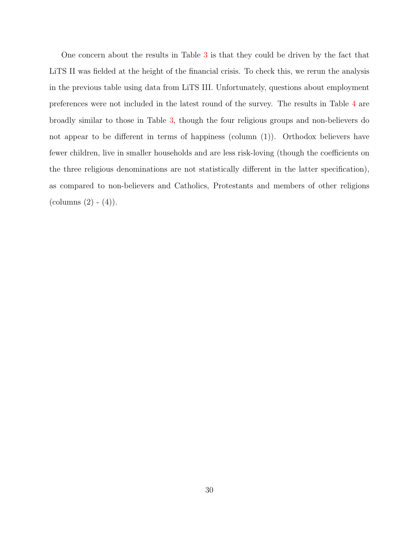One concern about the results in Table [3](#page-30-0) is that they could be driven by the fact that LiTS II was fielded at the height of the financial crisis. To check this, we rerun the analysis in the previous table using data from LiTS III. Unfortunately, questions about employment preferences were not included in the latest round of the survey. The results in Table [4](#page-32-0) are broadly similar to those in Table [3,](#page-30-0) though the four religious groups and non-believers do not appear to be different in terms of happiness (column (1)). Orthodox believers have fewer children, live in smaller households and are less risk-loving (though the coefficients on the three religious denominations are not statistically different in the latter specification), as compared to non-believers and Catholics, Protestants and members of other religions  $\text{(columns (2) - (4))}.$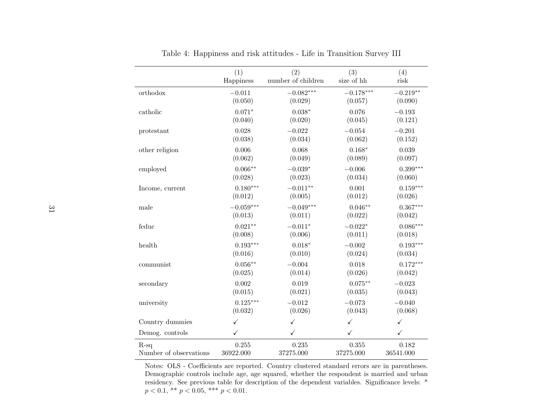|                        | (1)          | (2)                | (3)          | (4)          |
|------------------------|--------------|--------------------|--------------|--------------|
|                        | Happiness    | number of children | size of hh   | risk         |
| orthodox               | $-0.011$     | $-0.082***$        | $-0.178***$  | $-0.219**$   |
|                        | (0.050)      | (0.029)            | (0.057)      | (0.090)      |
| catholic               | $0.071*$     | $0.038*$           | 0.076        | $-0.193$     |
|                        | (0.040)      | (0.020)            | (0.045)      | (0.121)      |
| protestant             | 0.028        | $-0.022$           | $-0.054$     | $-0.201$     |
|                        | (0.038)      | (0.034)            | (0.062)      | (0.152)      |
| other religion         | 0.006        | 0.068              | $0.168*$     | 0.039        |
|                        | (0.062)      | (0.049)            | (0.089)      | (0.097)      |
| employed               | $0.066**$    | $-0.039*$          | $-0.006$     | $0.399***$   |
|                        | (0.028)      | (0.023)            | (0.034)      | (0.060)      |
| Income, current        | $0.180***$   | $-0.011**$         | 0.001        | $0.159***$   |
|                        | (0.012)      | (0.005)            | (0.012)      | (0.026)      |
| male                   | $-0.059***$  | $-0.049***$        | $0.046**$    | $0.367***$   |
|                        | (0.013)      | (0.011)            | (0.022)      | (0.042)      |
| feduc                  | $0.021**$    | $-0.011*$          | $-0.022*$    | $0.086***$   |
|                        | (0.008)      | (0.006)            | (0.011)      | (0.018)      |
| health                 | $0.193***$   | $0.018*$           | $-0.002$     | $0.193***$   |
|                        | (0.016)      | (0.010)            | (0.024)      | (0.034)      |
| communist              | $0.056**$    | $-0.004$           | 0.018        | $0.172***$   |
|                        | (0.025)      | (0.014)            | (0.026)      | (0.042)      |
| secondary              | 0.002        | 0.019              | $0.075**$    | $-0.023$     |
|                        | (0.015)      | (0.021)            | (0.035)      | (0.043)      |
| university             | $0.125***$   | $-0.012$           | $-0.073$     | $-0.040$     |
|                        | (0.032)      | (0.026)            | (0.043)      | (0.068)      |
| Country dummies        | $\checkmark$ | $\checkmark$       | $\checkmark$ | $\checkmark$ |
| Demog. controls        | ✓            | $\checkmark$       | ✓            | $\checkmark$ |
| $R-sq$                 | 0.255        | 0.235              | 0.355        | 0.182        |
| Number of observations | 36922.000    | 37275.000          | 37275.000    | 36541.000    |

Table 4: Happiness and risk attitudes - Life in Transition Survey III

<span id="page-32-0"></span>Notes: OLS - Coefficients are reported. Country clustered standard errors are in parentheses. Demographic controls include age, age squared, whether the respondent is married and urban residency. See previous table for description of the dependent variables. Significance levels: \* $p < 0.1$ , \*\*  $p < 0.05$ , \*\*\*  $p < 0.01$ .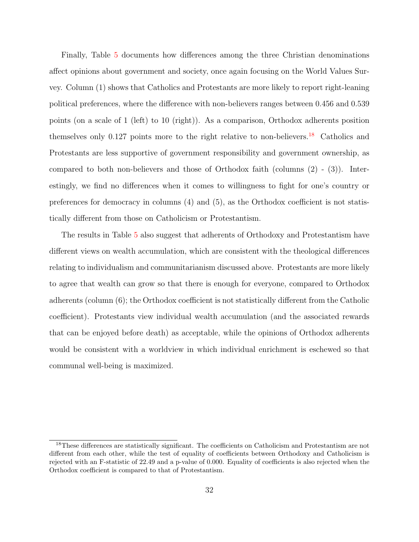Finally, Table [5](#page-34-0) documents how differences among the three Christian denominations affect opinions about government and society, once again focusing on the World Values Survey. Column (1) shows that Catholics and Protestants are more likely to report right-leaning political preferences, where the difference with non-believers ranges between 0.456 and 0.539 points (on a scale of 1 (left) to 10 (right)). As a comparison, Orthodox adherents position themselves only  $0.127$  points more to the right relative to non-believers.<sup>[18](#page-33-0)</sup> Catholics and Protestants are less supportive of government responsibility and government ownership, as compared to both non-believers and those of Orthodox faith (columns  $(2)$  -  $(3)$ ). Interestingly, we find no differences when it comes to willingness to fight for one's country or preferences for democracy in columns (4) and (5), as the Orthodox coefficient is not statistically different from those on Catholicism or Protestantism.

The results in Table [5](#page-34-0) also suggest that adherents of Orthodoxy and Protestantism have different views on wealth accumulation, which are consistent with the theological differences relating to individualism and communitarianism discussed above. Protestants are more likely to agree that wealth can grow so that there is enough for everyone, compared to Orthodox adherents (column (6); the Orthodox coefficient is not statistically different from the Catholic coefficient). Protestants view individual wealth accumulation (and the associated rewards that can be enjoyed before death) as acceptable, while the opinions of Orthodox adherents would be consistent with a worldview in which individual enrichment is eschewed so that communal well-being is maximized.

<span id="page-33-0"></span><sup>&</sup>lt;sup>18</sup>These differences are statistically significant. The coefficients on Catholicism and Protestantism are not different from each other, while the test of equality of coefficients between Orthodoxy and Catholicism is rejected with an F-statistic of 22.49 and a p-value of 0.000. Equality of coefficients is also rejected when the Orthodox coefficient is compared to that of Protestantism.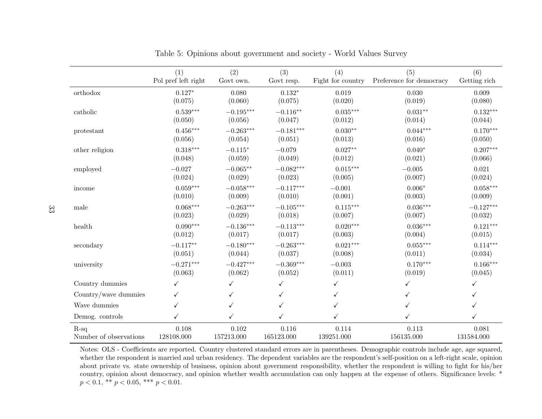|                        | (1)                 | (2)         | (3)          | (4)               | (5)                      | (6)          |
|------------------------|---------------------|-------------|--------------|-------------------|--------------------------|--------------|
|                        | Pol pref left right | Govt own.   | Govt resp.   | Fight for country | Preference for democracy | Getting rich |
| orthodox               | $0.127*$            | 0.080       | $0.132*$     | 0.019             | 0.030                    | 0.009        |
|                        | (0.075)             | (0.060)     | (0.075)      | (0.020)           | (0.019)                  | (0.080)      |
| catholic               | $0.539***$          | $-0.195***$ | $-0.116**$   | $0.035***$        | $0.031**$                | $0.132***$   |
|                        | (0.050)             | (0.056)     | (0.047)      | (0.012)           | (0.014)                  | (0.044)      |
| protestant             | $0.456***$          | $-0.263***$ | $-0.181***$  | $0.030**$         | $0.044***$               | $0.170***$   |
|                        | (0.056)             | (0.054)     | (0.051)      | (0.013)           | (0.016)                  | (0.050)      |
| other religion         | $0.318***$          | $-0.115*$   | $-0.079$     | $0.027**$         | $0.040*$                 | $0.207***$   |
|                        | (0.048)             | (0.059)     | (0.049)      | (0.012)           | (0.021)                  | (0.066)      |
| employed               | $-0.027$            | $-0.065**$  | $-0.082***$  | $0.015***$        | $-0.005$                 | 0.021        |
|                        | (0.024)             | (0.029)     | (0.023)      | (0.005)           | (0.007)                  | (0.024)      |
| income                 | $0.059***$          | $-0.058***$ | $-0.117***$  | $-0.001$          | $0.006*$                 | $0.058***$   |
|                        | (0.010)             | (0.009)     | (0.010)      | (0.001)           | (0.003)                  | (0.009)      |
| male                   | $0.068***$          | $-0.263***$ | $-0.105***$  | $0.115***$        | $0.036***$               | $-0.127***$  |
|                        | (0.023)             | (0.029)     | (0.018)      | (0.007)           | (0.007)                  | (0.032)      |
| health                 | $0.090***$          | $-0.136***$ | $-0.113***$  | $0.020***$        | $0.036***$               | $0.121***$   |
|                        | (0.012)             | (0.017)     | (0.017)      | (0.003)           | (0.004)                  | (0.015)      |
| secondary              | $-0.117**$          | $-0.180***$ | $-0.263***$  | $0.021***$        | $0.055***$               | $0.114***$   |
|                        | (0.051)             | (0.044)     | (0.037)      | (0.008)           | (0.011)                  | (0.034)      |
| university             | $-0.271***$         | $-0.427***$ | $-0.369***$  | $-0.003$          | $0.170***$               | $0.166***$   |
|                        | (0.063)             | (0.062)     | (0.052)      | (0.011)           | (0.019)                  | (0.045)      |
| Country dummies        | $\checkmark$        |             | $\checkmark$ | ✓                 |                          | ✓            |
| Country/wave dummies   | ✓                   | ✓           | $\checkmark$ | ✓                 |                          | ✓            |
| Wave dummies           | ✓                   |             | ✓            | ✓                 |                          | ✓            |
| Demog. controls        | ✓                   | ✓           | ✓            | $\checkmark$      |                          | ✓            |
| $R-sq$                 | 0.108               | 0.102       | 0.116        | 0.114             | 0.113                    | 0.081        |
| Number of observations | 128108.000          | 157213.000  | 165123.000   | 139251.000        | 156135.000               | 131584.000   |

Table 5: Opinions about government and society - World Values Survey

<span id="page-34-0"></span>Notes: OLS - Coefficients are reported. Country clustered standard errors are in parentheses. Demographic controls include age, age squared, whether the respondent is married and urban residency. The dependent variables are the respondent's self-position on <sup>a</sup> left-right scale, opinion about private vs. state ownership of business, opinion about government responsibility, whether the respondent is willing to fight for his/her country, opinion about democracy, and opinion whether wealth accumulation can only happen at the expense of others. Significance levels: \* $p < 0.1$ , \*\*  $p < 0.05$ , \*\*\*  $p < 0.01$ .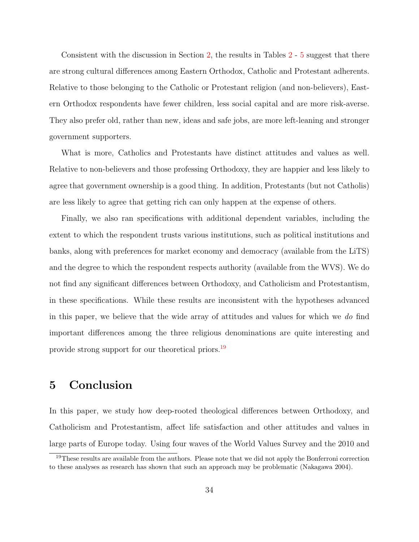Consistent with the discussion in Section [2,](#page-9-0) the results in Tables [2](#page-28-0) - [5](#page-34-0) suggest that there are strong cultural differences among Eastern Orthodox, Catholic and Protestant adherents. Relative to those belonging to the Catholic or Protestant religion (and non-believers), Eastern Orthodox respondents have fewer children, less social capital and are more risk-averse. They also prefer old, rather than new, ideas and safe jobs, are more left-leaning and stronger government supporters.

What is more, Catholics and Protestants have distinct attitudes and values as well. Relative to non-believers and those professing Orthodoxy, they are happier and less likely to agree that government ownership is a good thing. In addition, Protestants (but not Catholis) are less likely to agree that getting rich can only happen at the expense of others.

Finally, we also ran specifications with additional dependent variables, including the extent to which the respondent trusts various institutions, such as political institutions and banks, along with preferences for market economy and democracy (available from the LiTS) and the degree to which the respondent respects authority (available from the WVS). We do not find any significant differences between Orthodoxy, and Catholicism and Protestantism, in these specifications. While these results are inconsistent with the hypotheses advanced in this paper, we believe that the wide array of attitudes and values for which we do find important differences among the three religious denominations are quite interesting and provide strong support for our theoretical priors.[19](#page-35-0)

# 5 Conclusion

In this paper, we study how deep-rooted theological differences between Orthodoxy, and Catholicism and Protestantism, affect life satisfaction and other attitudes and values in large parts of Europe today. Using four waves of the World Values Survey and the 2010 and

<span id="page-35-0"></span><sup>&</sup>lt;sup>19</sup>These results are available from the authors. Please note that we did not apply the Bonferroni correction to these analyses as research has shown that such an approach may be problematic [\(Nakagawa](#page-41-15) [2004\)](#page-41-15).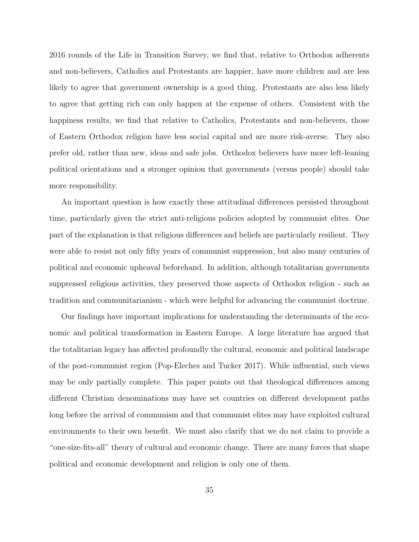2016 rounds of the Life in Transition Survey, we find that, relative to Orthodox adherents and non-believers, Catholics and Protestants are happier, have more children and are less likely to agree that government ownership is a good thing. Protestants are also less likely to agree that getting rich can only happen at the expense of others. Consistent with the happiness results, we find that relative to Catholics, Protestants and non-believers, those of Eastern Orthodox religion have less social capital and are more risk-averse. They also prefer old, rather than new, ideas and safe jobs. Orthodox believers have more left-leaning political orientations and a stronger opinion that governments (versus people) should take more responsibility.

An important question is how exactly these attitudinal differences persisted throughout time, particularly given the strict anti-religious policies adopted by communist elites. One part of the explanation is that religious differences and beliefs are particularly resilient. They were able to resist not only fifty years of communist suppression, but also many centuries of political and economic upheaval beforehand. In addition, although totalitarian governments suppressed religious activities, they preserved those aspects of Orthodox religion - such as tradition and communitarianism - which were helpful for advancing the communist doctrine.

Our findings have important implications for understanding the determinants of the economic and political transformation in Eastern Europe. A large literature has argued that the totalitarian legacy has affected profoundly the cultural, economic and political landscape of the post-communist region [\(Pop-Eleches and Tucker](#page-41-14) [2017\)](#page-41-14). While influential, such views may be only partially complete. This paper points out that theological differences among different Christian denominations may have set countries on different development paths long before the arrival of communism and that communist elites may have exploited cultural environments to their own benefit. We must also clarify that we do not claim to provide a "one-size-fits-all" theory of cultural and economic change. There are many forces that shape political and economic development and religion is only one of them.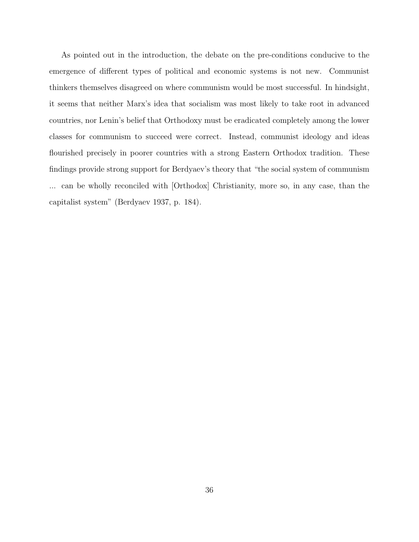As pointed out in the introduction, the debate on the pre-conditions conducive to the emergence of different types of political and economic systems is not new. Communist thinkers themselves disagreed on where communism would be most successful. In hindsight, it seems that neither Marx's idea that socialism was most likely to take root in advanced countries, nor Lenin's belief that Orthodoxy must be eradicated completely among the lower classes for communism to succeed were correct. Instead, communist ideology and ideas flourished precisely in poorer countries with a strong Eastern Orthodox tradition. These findings provide strong support for Berdyaev's theory that "the social system of communism ... can be wholly reconciled with [Orthodox] Christianity, more so, in any case, than the capitalist system" [\(Berdyaev](#page-38-7) [1937,](#page-38-7) p. 184).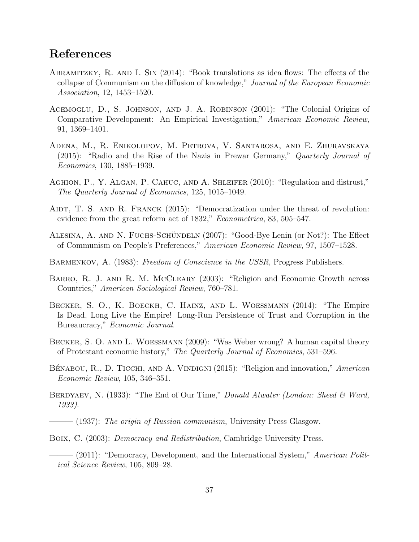## References

- <span id="page-38-14"></span>Abramitzky, R. and I. Sin (2014): "Book translations as idea flows: The effects of the collapse of Communism on the diffusion of knowledge," Journal of the European Economic Association, 12, 1453–1520.
- <span id="page-38-2"></span>Acemoglu, D., S. Johnson, and J. A. Robinson (2001): "The Colonial Origins of Comparative Development: An Empirical Investigation," American Economic Review, 91, 1369–1401.
- <span id="page-38-8"></span>Adena, M., R. Enikolopov, M. Petrova, V. Santarosa, and E. Zhuravskaya (2015): "Radio and the Rise of the Nazis in Prewar Germany," Quarterly Journal of Economics, 130, 1885–1939.
- <span id="page-38-1"></span>AGHION, P., Y. ALGAN, P. CAHUC, AND A. SHLEIFER (2010): "Regulation and distrust," The Quarterly Journal of Economics, 125, 1015–1049.
- <span id="page-38-5"></span>AIDT, T. S. AND R. FRANCK (2015): "Democratization under the threat of revolution: evidence from the great reform act of 1832," *Econometrica*, 83, 505–547.
- <span id="page-38-9"></span>ALESINA, A. AND N. FUCHS-SCHÜNDELN (2007): "Good-Bye Lenin (or Not?): The Effect of Communism on People's Preferences," American Economic Review, 97, 1507–1528.
- <span id="page-38-13"></span>BARMENKOV, A. (1983): Freedom of Conscience in the USSR, Progress Publishers.
- <span id="page-38-11"></span>BARRO, R. J. AND R. M. MCCLEARY (2003): "Religion and Economic Growth across Countries," American Sociological Review, 760–781.
- <span id="page-38-0"></span>Becker, S. O., K. Boeckh, C. Hainz, and L. Woessmann (2014): "The Empire Is Dead, Long Live the Empire! Long-Run Persistence of Trust and Corruption in the Bureaucracy," Economic Journal.
- <span id="page-38-12"></span>Becker, S. O. and L. Woessmann (2009): "Was Weber wrong? A human capital theory of Protestant economic history," The Quarterly Journal of Economics, 531–596.
- <span id="page-38-10"></span>BÉNABOU, R., D. TICCHI, AND A. VINDIGNI (2015): "Religion and innovation," American Economic Review, 105, 346–351.
- <span id="page-38-6"></span>BERDYAEV, N. (1933): "The End of Our Time," *Donald Atwater (London: Sheed & Ward*, 1933).

<span id="page-38-7"></span> $-$  (1937): The origin of Russian communism, University Press Glasgow.

<span id="page-38-3"></span>Boix, C. (2003): Democracy and Redistribution, Cambridge University Press.

<span id="page-38-4"></span> $-$  (2011): "Democracy, Development, and the International System," American Political Science Review, 105, 809–28.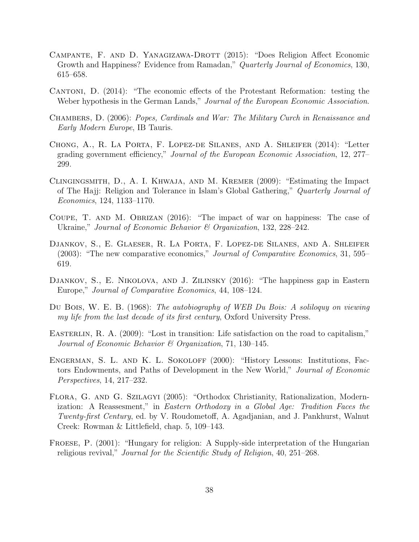- <span id="page-39-0"></span>CAMPANTE, F. AND D. YANAGIZAWA-DROTT (2015): "Does Religion Affect Economic Growth and Happiness? Evidence from Ramadan," Quarterly Journal of Economics, 130, 615–658.
- <span id="page-39-7"></span>Cantoni, D. (2014): "The economic effects of the Protestant Reformation: testing the Weber hypothesis in the German Lands," Journal of the European Economic Association.
- <span id="page-39-8"></span>Chambers, D. (2006): Popes, Cardinals and War: The Military Curch in Renaissance and Early Modern Europe, IB Tauris.
- <span id="page-39-9"></span>Chong, A., R. La Porta, F. Lopez-de Silanes, and A. Shleifer (2014): "Letter grading government efficiency," Journal of the European Economic Association, 12, 277– 299.
- <span id="page-39-2"></span>Clingingsmith, D., A. I. Khwaja, and M. Kremer (2009): "Estimating the Impact of The Hajj: Religion and Tolerance in Islam's Global Gathering," Quarterly Journal of Economics, 124, 1133–1170.
- <span id="page-39-4"></span>Coupe, T. and M. Obrizan (2016): "The impact of war on happiness: The case of Ukraine," Journal of Economic Behavior & Organization, 132, 228–242.
- <span id="page-39-6"></span>Djankov, S., E. Glaeser, R. La Porta, F. Lopez-de Silanes, and A. Shleifer (2003): "The new comparative economics," Journal of Comparative Economics, 31, 595– 619.
- <span id="page-39-1"></span>Djankov, S., E. Nikolova, and J. Zilinsky (2016): "The happiness gap in Eastern Europe," Journal of Comparative Economics, 44, 108–124.
- <span id="page-39-10"></span>Du Bois, W. E. B. (1968): The autobiography of WEB Du Bois: A soliloquy on viewing my life from the last decade of its first century, Oxford University Press.
- <span id="page-39-5"></span>EASTERLIN, R. A. (2009): "Lost in transition: Life satisfaction on the road to capitalism," Journal of Economic Behavior & Organization, 71, 130–145.
- <span id="page-39-3"></span>Engerman, S. L. and K. L. Sokoloff (2000): "History Lessons: Institutions, Factors Endowments, and Paths of Development in the New World," Journal of Economic Perspectives, 14, 217–232.
- <span id="page-39-12"></span>Flora, G. and G. Szilagyi (2005): "Orthodox Christianity, Rationalization, Modernization: A Reassesment," in Eastern Orthodoxy in a Global Age: Tradition Faces the Twenty-first Century, ed. by V. Roudometoff, A. Agadjanian, and J. Pankhurst, Walnut Creek: Rowman & Littlefield, chap. 5, 109–143.
- <span id="page-39-11"></span>Froese, P. (2001): "Hungary for religion: A Supply-side interpretation of the Hungarian religious revival," Journal for the Scientific Study of Religion, 40, 251–268.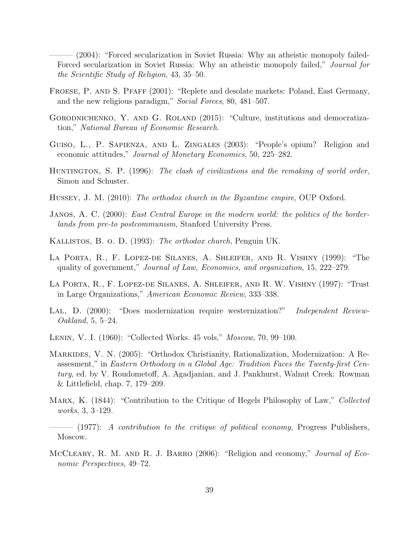<span id="page-40-15"></span> $-(2004)$ : "Forced secularization in Soviet Russia: Why an atheistic monopoly failed-Forced secularization in Soviet Russia: Why an atheistic monopoly failed," Journal for the Scientific Study of Religion, 43, 35–50.

- <span id="page-40-14"></span>Froese, P. and S. Pfaff (2001): "Replete and desolate markets: Poland, East Germany, and the new religious paradigm," Social Forces, 80, 481–507.
- <span id="page-40-3"></span>GORODNICHENKO, Y. AND G. ROLAND (2015): "Culture, institutions and democratization," National Bureau of Economic Research.
- <span id="page-40-0"></span>Guiso, L., P. Sapienza, and L. Zingales (2003): "People's opium? Religion and economic attitudes," Journal of Monetary Economics, 50, 225–282.
- <span id="page-40-12"></span>HUNTINGTON, S. P. (1996): The clash of civilizations and the remaking of world order, Simon and Schuster.
- <span id="page-40-11"></span>Hussey, J. M. (2010): The orthodox church in the Byzantine empire, OUP Oxford.
- <span id="page-40-6"></span>JANOS, A. C. (2000): East Central Europe in the modern world: the politics of the borderlands from pre-to postcommunism, Stanford University Press.
- <span id="page-40-7"></span>Kallistos, B. o. D. (1993): The orthodox church, Penguin UK.
- <span id="page-40-9"></span>La Porta, R., F. Lopez-de Silanes, A. Shleifer, and R. Vishny (1999): "The quality of government," Journal of Law, Economics, and organization, 15, 222–279.
- <span id="page-40-2"></span>La Porta, R., F. Lopez-de Silanes, A. Shleifer, and R. W. Vishny (1997): "Trust in Large Organizations," American Economic Review, 333–338.
- <span id="page-40-10"></span>LAL, D. (2000): "Does modernization require westernization?" *Independent Review-*Oakland, 5, 5–24.
- <span id="page-40-5"></span>Lenin, V. I. (1960): "Collected Works. 45 vols," Moscow, 70, 99–100.
- <span id="page-40-13"></span>Markides, V. N. (2005): "Orthodox Christianity, Rationalization, Modernization: A Reassesment," in Eastern Orthodoxy in a Global Age: Tradition Faces the Twenty-first Century, ed. by V. Roudometoff, A. Agadjanian, and J. Pankhurst, Walnut Creek: Rowman & Littlefield, chap. 7, 179–209.
- <span id="page-40-8"></span>MARX, K. (1844): "Contribution to the Critique of Hegels Philosophy of Law," Collected works, 3, 3–129.
- <span id="page-40-4"></span> $-$  (1977): A contribution to the critique of political economy, Progress Publishers, Moscow.
- <span id="page-40-1"></span>MCCLEARY, R. M. AND R. J. BARRO (2006): "Religion and economy," *Journal of Eco*nomic Perspectives, 49–72.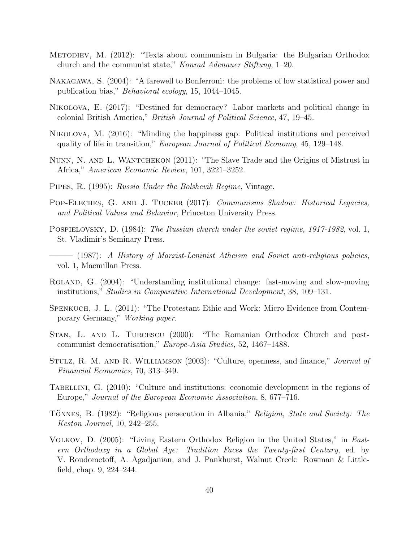- <span id="page-41-11"></span>Metodiev, M. (2012): "Texts about communism in Bulgaria: the Bulgarian Orthodox church and the communist state," Konrad Adenauer Stiftung, 1–20.
- <span id="page-41-15"></span>Nakagawa, S. (2004): "A farewell to Bonferroni: the problems of low statistical power and publication bias," Behavioral ecology, 15, 1044–1045.
- <span id="page-41-2"></span>Nikolova, E. (2017): "Destined for democracy? Labor markets and political change in colonial British America," British Journal of Political Science, 47, 19–45.
- <span id="page-41-4"></span>Nikolova, M. (2016): "Minding the happiness gap: Political institutions and perceived quality of life in transition," European Journal of Political Economy, 45, 129–148.
- <span id="page-41-0"></span>Nunn, N. and L. Wantchekon (2011): "The Slave Trade and the Origins of Mistrust in Africa," American Economic Review, 101, 3221–3252.
- <span id="page-41-8"></span>Pipes, R. (1995): Russia Under the Bolshevik Regime, Vintage.
- <span id="page-41-14"></span>POP-ELECHES, G. AND J. TUCKER (2017): *Communisms Shadow: Historical Legacies*, and Political Values and Behavior, Princeton University Press.
- <span id="page-41-9"></span>POSPIELOVSKY, D. (1984): The Russian church under the soviet regime, 1917-1982, vol. 1, St. Vladimir's Seminary Press.
- <span id="page-41-10"></span>——— (1987): A History of Marxist-Leninist Atheism and Soviet anti-religious policies, vol. 1, Macmillan Press.
- <span id="page-41-5"></span>Roland, G. (2004): "Understanding institutional change: fast-moving and slow-moving institutions," Studies in Comparative International Development, 38, 109–131.
- <span id="page-41-7"></span>Spenkuch, J. L. (2011): "The Protestant Ethic and Work: Micro Evidence from Contemporary Germany," Working paper.
- <span id="page-41-12"></span>STAN, L. AND L. TURCESCU (2000): "The Romanian Orthodox Church and postcommunist democratisation," Europe-Asia Studies, 52, 1467–1488.
- <span id="page-41-6"></span>Stulz, R. M. and R. Williamson (2003): "Culture, openness, and finance," Journal of Financial Economics, 70, 313–349.
- <span id="page-41-1"></span>TABELLINI, G. (2010): "Culture and institutions: economic development in the regions of Europe," Journal of the European Economic Association, 8, 677–716.
- <span id="page-41-13"></span>TÖNNES, B. (1982): "Religious persecution in Albania," Religion, State and Society: The Keston Journal, 10, 242–255.
- <span id="page-41-3"></span>Volkov, D. (2005): "Living Eastern Orthodox Religion in the United States," in Eastern Orthodoxy in a Global Age: Tradition Faces the Twenty-first Century, ed. by V. Roudometoff, A. Agadjanian, and J. Pankhurst, Walnut Creek: Rowman & Littlefield, chap. 9, 224–244.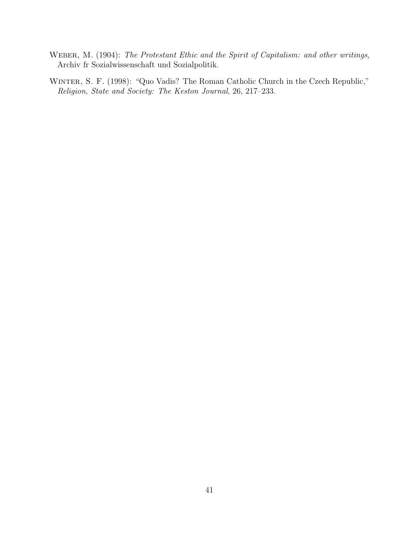- <span id="page-42-0"></span>WEBER, M. (1904): The Protestant Ethic and the Spirit of Capitalism: and other writings, Archiv fr Sozialwissenschaft und Sozialpolitik.
- <span id="page-42-1"></span>Winter, S. F. (1998): "Quo Vadis? The Roman Catholic Church in the Czech Republic," Religion, State and Society: The Keston Journal, 26, 217–233.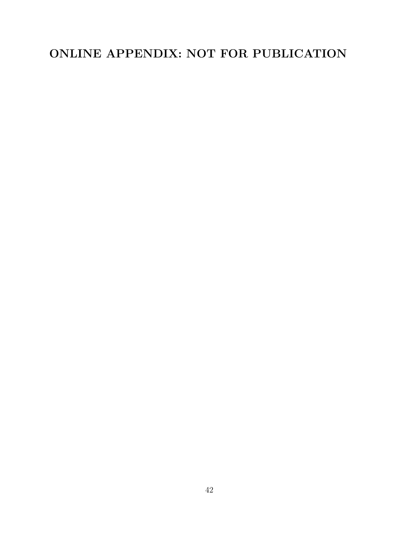# ONLINE APPENDIX: NOT FOR PUBLICATION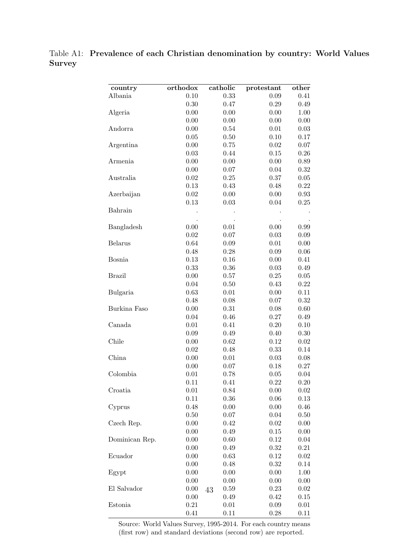<span id="page-44-0"></span>Table A1: Prevalence of each Christian denomination by country: World Values **Survey** 

| country        | orthodox | catholic   | protestant | other |
|----------------|----------|------------|------------|-------|
| Albania        | 0.10     | 0.33       | 0.09       | 0.41  |
|                | 0.30     | 0.47       | 0.29       | 0.49  |
| Algeria        | 0.00     | 0.00       | 0.00       | 1.00  |
|                | 0.00     | 0.00       | 0.00       | 0.00  |
| Andorra        | 0.00     | 0.54       | 0.01       | 0.03  |
|                | 0.05     | 0.50       | 0.10       | 0.17  |
| Argentina      | 0.00     | 0.75       | $0.02\,$   | 0.07  |
|                | 0.03     | 0.44       | $0.15\,$   | 0.26  |
| Armenia        | 0.00     | 0.00       | 0.00       | 0.89  |
|                | 0.00     | $0.07\,$   | 0.04       | 0.32  |
| Australia      | $0.02\,$ | 0.25       | 0.37       | 0.05  |
|                | 0.13     | 0.43       | 0.48       | 0.22  |
| Azerbaijan     | 0.02     | 0.00       | 0.00       | 0.93  |
|                | 0.13     | 0.03       | 0.04       | 0.25  |
| Bahrain        |          |            |            |       |
|                |          |            |            |       |
| Bangladesh     | 0.00     | 0.01       | 0.00       | 0.99  |
|                | 0.02     | $0.07\,$   | 0.03       | 0.09  |
| <b>Belarus</b> | 0.64     | 0.09       | 0.01       | 0.00  |
|                | 0.48     | 0.28       | 0.09       | 0.06  |
| <b>Bosnia</b>  | 0.13     | 0.16       | 0.00       | 0.41  |
|                | 0.33     | 0.36       | 0.03       | 0.49  |
| <b>Brazil</b>  | 0.00     | 0.57       | 0.25       | 0.05  |
|                | 0.04     | 0.50       | 0.43       | 0.22  |
| Bulgaria       | 0.63     | 0.01       | 0.00       | 0.11  |
|                | 0.48     | 0.08       | 0.07       | 0.32  |
| Burkina Faso   | 0.00     | 0.31       | 0.08       | 0.60  |
|                | 0.04     | 0.46       | 0.27       | 0.49  |
| Canada         | 0.01     | 0.41       | 0.20       | 0.10  |
|                | 0.09     | 0.49       | 0.40       | 0.30  |
| Chile          | 0.00     | 0.62       | 0.12       | 0.02  |
|                | 0.02     | 0.48       | 0.33       | 0.14  |
| China          | 0.00     | 0.01       | 0.03       | 0.08  |
|                | 0.00     | 0.07       | 0.18       | 0.27  |
| Colombia       | 0.01     | 0.78       | 0.05       | 0.04  |
|                | 0.11     | 0.41       | 0.22       | 0.20  |
| Croatia        | 0.01     | 0.84       | 0.00       | 0.02  |
|                | 0.11     | 0.36       | 0.06       | 0.13  |
| Cyprus         | 0.48     | 0.00       | 0.00       | 0.46  |
|                | 0.50     | 0.07       | 0.04       | 0.50  |
| Czech Rep.     | 0.00     | 0.42       | 0.02       | 0.00  |
|                | 0.00     | 0.49       | 0.15       | 0.00  |
| Dominican Rep. | 0.00     | 0.60       | 0.12       | 0.04  |
|                | 0.00     | 0.49       | 0.32       | 0.21  |
| Ecuador        | 0.00     | 0.63       | 0.12       | 0.02  |
|                | 0.00     | 0.48       | 0.32       | 0.14  |
| Egypt          | 0.00     | 0.00       | 0.00       | 1.00  |
|                | 0.00     | 0.00       | 0.00       | 0.00  |
| El Salvador    | 0.00     | 0.59<br>43 | 0.23       | 0.02  |
|                | 0.00     | 0.49       | 0.42       | 0.15  |
| Estonia        | 0.21     | 0.01       | 0.09       | 0.01  |
|                | 0.41     | 0.11       | 0.28       | 0.11  |

Source: World Values Survey, 1995-2014. For each country means (first row) and standard deviations (second row) are reported.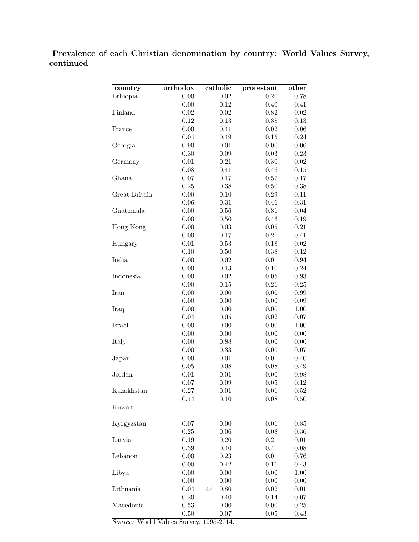Prevalence of each Christian denomination by country: World Values Survey, continued

| country       | orthodox | catholic   | protestant | other    |
|---------------|----------|------------|------------|----------|
| Ethiopia      | 0.00     | 0.02       | 0.20       | 0.78     |
|               | 0.00     | 0.12       | 0.40       | 0.41     |
| Finland       | 0.02     | 0.02       | 0.82       | 0.02     |
|               | 0.12     | 0.13       | 0.38       | 0.13     |
| France        | 0.00     | 0.41       | 0.02       | 0.06     |
|               | 0.04     | 0.49       | 0.15       | 0.24     |
| Georgia       | 0.90     | 0.01       | 0.00       | 0.06     |
|               | 0.30     | 0.09       | 0.03       | 0.23     |
| Germany       | 0.01     | 0.21       | 0.30       | 0.02     |
|               | 0.08     | 0.41       | 0.46       | 0.15     |
| Ghana         | 0.07     | 0.17       | 0.57       | 0.17     |
|               | 0.25     | 0.38       | 0.50       | 0.38     |
| Great Britain | 0.00     | 0.10       | 0.29       | 0.11     |
|               | 0.06     | 0.31       | 0.46       | 0.31     |
| Guatemala     | 0.00     | 0.56       | 0.31       | 0.04     |
|               | 0.00     | 0.50       | 0.46       | 0.19     |
| Hong Kong     | 0.00     | 0.03       | 0.05       | 0.21     |
|               | 0.00     | 0.17       | 0.21       | 0.41     |
| Hungary       | 0.01     | 0.53       | 0.18       | 0.02     |
|               | 0.10     | 0.50       | 0.38       | 0.12     |
| India         | 0.00     | 0.02       | $0.01\,$   | 0.94     |
|               | 0.00     | 0.13       | 0.10       | 0.24     |
| Indonesia     | 0.00     | 0.02       | 0.05       | 0.93     |
|               | 0.00     | 0.15       | 0.21       | 0.25     |
| Iran          | 0.00     | 0.00       | 0.00       | 0.99     |
|               | 0.00     | 0.00       | 0.00       | 0.09     |
| Iraq          | 0.00     | 0.00       | 0.00       | 1.00     |
|               | 0.04     | 0.05       | 0.02       | 0.07     |
| Israel        | 0.00     | 0.00       | 0.00       | 1.00     |
|               | 0.00     | 0.00       | 0.00       | 0.00     |
| Italy         | 0.00     | 0.88       | 0.00       | 0.00     |
|               | 0.00     | 0.33       | 0.00       | 0.07     |
| Japan         | 0.00     | 0.01       | 0.01       | 0.40     |
|               | 0.05     | 0.08       | 0.08       | 0.49     |
| Jordan        | 0.01     | 0.01       | 0.00       | 0.98     |
|               | 0.07     | 0.09       | 0.05       | 0.12     |
| Kazakhstan    | 0.27     | $0.01\,$   | $0.01\,$   | $0.52\,$ |
|               | 0.44     | 0.10       | 0.08       | 0.50     |
| Kuwait        |          |            |            |          |
|               |          |            |            |          |
| Kyrgyzstan    | 0.07     | 0.00       | $0.01\,$   | 0.85     |
|               | 0.25     | 0.06       | 0.08       | 0.36     |
| Latvia        | 0.19     | 0.20       | 0.21       | 0.01     |
|               | 0.39     | 0.40       | 0.41       | 0.08     |
| Lebanon       | 0.00     | 0.23       | 0.01       | 0.76     |
|               | 0.00     | 0.42       | 0.11       | 0.43     |
| Libya         | 0.00     | 0.00       | 0.00       | 1.00     |
|               | 0.00     | 0.00       | 0.00       | 0.00     |
| Lithuania     | 0.04     | 0.80<br>44 | 0.02       | 0.01     |
|               | $0.20\,$ | 0.40       | 0.14       | 0.07     |
| Macedonia     | 0.53     | 0.00       | 0.00       | 0.25     |
|               | 0.50     | 0.07       | 0.05       | 0.43     |

Source: World Values Survey, 1995-2014.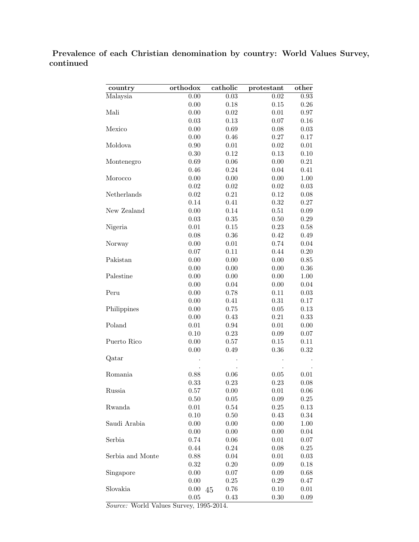## Prevalence of each Christian denomination by country: World Values Survey, continued

| country          | orthodox   | catholic | protestant | other    |
|------------------|------------|----------|------------|----------|
| Malaysia         | 0.00       | 0.03     | 0.02       | 0.93     |
|                  | 0.00       | 0.18     | 0.15       | 0.26     |
| Mali             | 0.00       | 0.02     | 0.01       | 0.97     |
|                  | 0.03       | 0.13     | 0.07       | 0.16     |
| Mexico           | 0.00       | 0.69     | 0.08       | 0.03     |
|                  | 0.00       | 0.46     | 0.27       | 0.17     |
| Moldova          | 0.90       | 0.01     | 0.02       | $0.01\,$ |
|                  | 0.30       | 0.12     | 0.13       | 0.10     |
| Montenegro       | 0.69       | 0.06     | 0.00       | 0.21     |
|                  | 0.46       | 0.24     | 0.04       | 0.41     |
| Morocco          | 0.00       | 0.00     | 0.00       | 1.00     |
|                  | 0.02       | 0.02     | 0.02       | 0.03     |
| Netherlands      | 0.02       | 0.21     | 0.12       | 0.08     |
|                  | 0.14       | 0.41     | 0.32       | 0.27     |
| New Zealand      | 0.00       | 0.14     | 0.51       | 0.09     |
|                  | 0.03       | 0.35     | 0.50       | 0.29     |
| Nigeria          | 0.01       | 0.15     | 0.23       | 0.58     |
|                  | 0.08       | 0.36     | 0.42       | 0.49     |
| Norway           | 0.00       | 0.01     | 0.74       | 0.04     |
|                  | 0.07       | 0.11     | 0.44       | 0.20     |
| Pakistan         | 0.00       | 0.00     | 0.00       | 0.85     |
|                  | 0.00       | 0.00     | 0.00       | 0.36     |
| Palestine        | 0.00       | 0.00     | 0.00       | 1.00     |
|                  | 0.00       | 0.04     | 0.00       | 0.04     |
| Peru             | 0.00       | 0.78     | 0.11       | 0.03     |
|                  | 0.00       | 0.41     | 0.31       | 0.17     |
| Philippines      | 0.00       | 0.75     | 0.05       | 0.13     |
|                  | 0.00       | 0.43     | 0.21       | 0.33     |
| Poland           | 0.01       | 0.94     | 0.01       | 0.00     |
|                  | 0.10       | 0.23     | 0.09       | 0.07     |
| Puerto Rico      | 0.00       | 0.57     | 0.15       | 0.11     |
|                  | 0.00       | 0.49     | 0.36       | 0.32     |
| Qatar            |            |          |            |          |
|                  |            |          |            |          |
| Romania          | 0.88       | 0.06     | 0.05       | 0.01     |
|                  | 0.33       | 0.23     | 0.23       | 0.08     |
| Russia           | $0.57\,$   | 0.00     | $0.01\,$   | 0.06     |
|                  | 0.50       | 0.05     | 0.09       | $0.25\,$ |
| Rwanda           | 0.01       | 0.54     | 0.25       | 0.13     |
|                  | 0.10       | 0.50     | 0.43       | 0.34     |
| Saudi Arabia     | 0.00       | 0.00     | 0.00       | 1.00     |
|                  | 0.00       | 0.00     | 0.00       | 0.04     |
| Serbia           | 0.74       | 0.06     | 0.01       | 0.07     |
|                  | 0.44       | 0.24     | 0.08       | 0.25     |
| Serbia and Monte | 0.88       | 0.04     | 0.01       | 0.03     |
|                  | 0.32       | 0.20     | 0.09       | 0.18     |
| Singapore        | 0.00       | 0.07     | 0.09       | 0.68     |
|                  | 0.00       | 0.25     | 0.29       | 0.47     |
| Slovakia         | 0.00<br>45 | 0.76     | 0.10       | 0.01     |
|                  | 0.05       | 0.43     | 0.30       | 0.09     |

Source: World Values Survey, 1995-2014.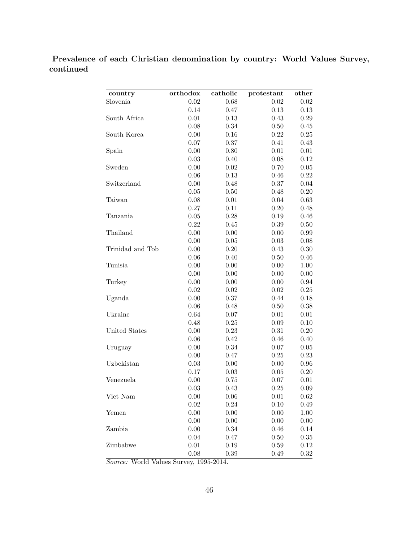Prevalence of each Christian denomination by country: World Values Survey, continued

| country          | orthodox | catholic | protestant | other |
|------------------|----------|----------|------------|-------|
| Slovenia         | 0.02     | 0.68     | 0.02       | 0.02  |
|                  | 0.14     | 0.47     | 0.13       | 0.13  |
| South Africa     | 0.01     | 0.13     | 0.43       | 0.29  |
|                  | 0.08     | 0.34     | 0.50       | 0.45  |
| South Korea      | 0.00     | 0.16     | 0.22       | 0.25  |
|                  | 0.07     | 0.37     | 0.41       | 0.43  |
| Spain            | 0.00     | 0.80     | 0.01       | 0.01  |
|                  | 0.03     | 0.40     | 0.08       | 0.12  |
| Sweden           | 0.00     | 0.02     | 0.70       | 0.05  |
|                  | 0.06     | 0.13     | 0.46       | 0.22  |
| Switzerland      | 0.00     | 0.48     | 0.37       | 0.04  |
|                  | 0.05     | 0.50     | 0.48       | 0.20  |
| Taiwan           | 0.08     | 0.01     | 0.04       | 0.63  |
|                  | 0.27     | 0.11     | 0.20       | 0.48  |
| Tanzania         | 0.05     | 0.28     | 0.19       | 0.46  |
|                  | 0.22     | 0.45     | 0.39       | 0.50  |
| Thailand         | 0.00     | 0.00     | 0.00       | 0.99  |
|                  | 0.00     | 0.05     | 0.03       | 0.08  |
| Trinidad and Tob | 0.00     | 0.20     | 0.43       | 0.30  |
|                  | 0.06     | 0.40     | 0.50       | 0.46  |
| Tunisia          | 0.00     | 0.00     | 0.00       | 1.00  |
|                  | 0.00     | 0.00     | 0.00       | 0.00  |
| Turkey           | 0.00     | 0.00     | 0.00       | 0.94  |
|                  | 0.02     | 0.02     | 0.02       | 0.25  |
| Uganda           | 0.00     | 0.37     | 0.44       | 0.18  |
|                  | 0.06     | 0.48     | 0.50       | 0.38  |
| Ukraine          | 0.64     | 0.07     | 0.01       | 0.01  |
|                  | 0.48     | 0.25     | 0.09       | 0.10  |
| United States    | 0.00     | 0.23     | 0.31       | 0.20  |
|                  | 0.06     | 0.42     | 0.46       | 0.40  |
| Uruguay          | 0.00     | 0.34     | 0.07       | 0.05  |
|                  | 0.00     | 0.47     | 0.25       | 0.23  |
| Uzbekistan       | 0.03     | 0.00     | 0.00       | 0.96  |
|                  | 0.17     | 0.03     | 0.05       | 0.20  |
| Venezuela        | 0.00     | 0.75     | 0.07       | 0.01  |
|                  | 0.03     | 0.43     | 0.25       | 0.09  |
| Viet Nam         | 0.00     | 0.06     | 0.01       | 0.62  |
|                  | 0.02     | 0.24     | 0.10       | 0.49  |
| Yemen            | $0.00\,$ | 0.00     | 0.00       | 1.00  |
|                  | 0.00     | 0.00     | 0.00       | 0.00  |
| Zambia           | $0.00\,$ | 0.34     | 0.46       | 0.14  |
|                  | 0.04     | 0.47     | 0.50       | 0.35  |
| Zimbabwe         | 0.01     | 0.19     | 0.59       | 0.12  |
|                  | $0.08\,$ | 0.39     | 0.49       | 0.32  |

Source: World Values Survey, 1995-2014.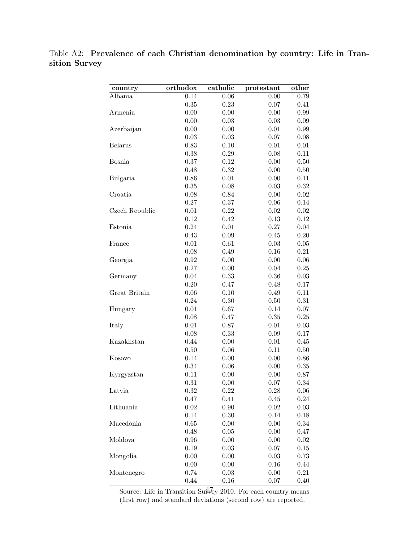<span id="page-48-0"></span>Table A2: Prevalence of each Christian denomination by country: Life in Transition Survey

| country        | orthodox | catholic | protestant | other    |
|----------------|----------|----------|------------|----------|
| Albania        | 0.14     | 0.06     | 0.00       | 0.79     |
|                | 0.35     | 0.23     | 0.07       | 0.41     |
| Armenia        | 0.00     | 0.00     | 0.00       | 0.99     |
|                | 0.00     | 0.03     | 0.03       | 0.09     |
| Azerbaijan     | 0.00     | 0.00     | 0.01       | 0.99     |
|                | 0.03     | 0.03     | 0.07       | 0.08     |
| <b>Belarus</b> | 0.83     | 0.10     | 0.01       | 0.01     |
|                | 0.38     | 0.29     | 0.08       | 0.11     |
| <b>Bosnia</b>  | 0.37     | 0.12     | 0.00       | 0.50     |
|                | 0.48     | 0.32     | 0.00       | 0.50     |
| Bulgaria       | 0.86     | 0.01     | 0.00       | 0.11     |
|                | 0.35     | 0.08     | 0.03       | 0.32     |
| Croatia        | 0.08     | 0.84     | 0.00       | $0.02\,$ |
|                | 0.27     | 0.37     | 0.06       | 0.14     |
| Czech Republic | 0.01     | 0.22     | 0.02       | 0.02     |
|                | 0.12     | 0.42     | 0.13       | 0.12     |
| Estonia        | 0.24     | 0.01     | 0.27       | 0.04     |
|                | 0.43     | 0.09     | 0.45       | 0.20     |
| France         | 0.01     | 0.61     | 0.03       | 0.05     |
|                | 0.08     | 0.49     | 0.16       | 0.21     |
| Georgia        | 0.92     | 0.00     | 0.00       | 0.06     |
|                | 0.27     | 0.00     | 0.04       | 0.25     |
| Germany        | 0.04     | 0.33     | 0.36       | 0.03     |
|                | 0.20     | 0.47     | 0.48       | 0.17     |
| Great Britain  | 0.06     | 0.10     | 0.49       | 0.11     |
|                | 0.24     | 0.30     | 0.50       | 0.31     |
| Hungary        | 0.01     | 0.67     | 0.14       | 0.07     |
|                | 0.08     | 0.47     | 0.35       | 0.25     |
| Italy          | 0.01     | 0.87     | 0.01       | 0.03     |
|                | 0.08     | 0.33     | 0.09       | 0.17     |
| Kazakhstan     | 0.44     | 0.00     | 0.01       | 0.45     |
|                | 0.50     | 0.06     | 0.11       | 0.50     |
| Kosovo         | 0.14     | 0.00     | 0.00       | 0.86     |
|                | 0.34     | 0.06     | 0.00       | 0.35     |
| Kyrgyzstan     | 0.11     | 0.00     | 0.00       | 0.87     |
|                | 0.31     | 0.00     | 0.07       | 0.34     |
| Latvia         | 0.32     | 0.22     | 0.28       | 0.06     |
|                | 0.47     | 0.41     | 0.45       | $0.24\,$ |
| Lithuania      | 0.02     | 0.90     | 0.02       | 0.03     |
|                | 0.14     | 0.30     | 0.14       | $0.18\,$ |
| Macedonia      | 0.65     | 0.00     | 0.00       | 0.34     |
|                | 0.48     | 0.05     | 0.00       | 0.47     |
| Moldova        | 0.96     | 0.00     | 0.00       | 0.02     |
|                | 0.19     | 0.03     | 0.07       | $0.15\,$ |
| Mongolia       | 0.00     | 0.00     | 0.03       | 0.73     |
|                | 0.00     | 0.00     | 0.16       | 0.44     |
| Montenegro     | 0.74     | 0.03     | 0.00       | 0.21     |
|                | 0.44     | 0.16     | 0.07       | 0.40     |

Source: Life in Transition Survey 2010. For each country means (first row) and standard deviations (second row) are reported.